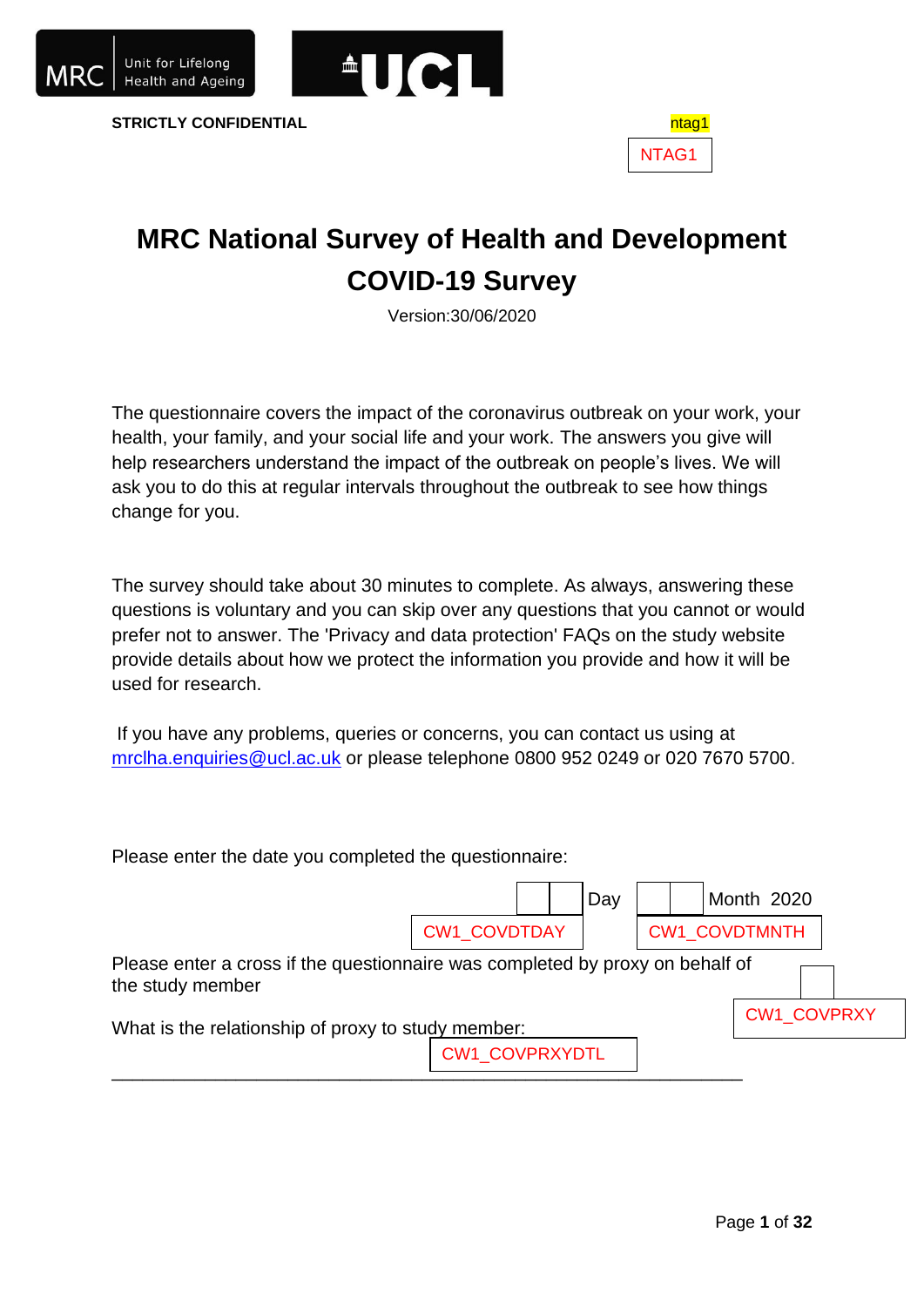



**STRICTLY CONFIDENTIAL ntag1** 



# **MRC National Survey of Health and Development COVID-19 Survey**

Version:30/06/2020

The questionnaire covers the impact of the coronavirus outbreak on your work, your health, your family, and your social life and your work. The answers you give will help researchers understand the impact of the outbreak on people's lives. We will ask you to do this at regular intervals throughout the outbreak to see how things change for you.

The survey should take about 30 minutes to complete. As always, answering these questions is voluntary and you can skip over any questions that you cannot or would prefer not to answer. The 'Privacy and data protection' FAQs on the study website provide details about how we protect the information you provide and how it will be used for research.

If you have any problems, queries or concerns, you can contact us using at [mrclha.enquiries@ucl.ac.uk](mailto:mrclha.enquiries@ucl.ac.uk) or please telephone 0800 952 0249 or 020 7670 5700.

Please enter the date you completed the questionnaire:

|                                                                                                   |                     | Day |  |  | Month 2020           |                    |
|---------------------------------------------------------------------------------------------------|---------------------|-----|--|--|----------------------|--------------------|
|                                                                                                   | <b>CW1_COVDTDAY</b> |     |  |  | <b>CW1 COVDTMNTH</b> |                    |
| Please enter a cross if the questionnaire was completed by proxy on behalf of<br>the study member |                     |     |  |  |                      |                    |
| What is the relationship of proxy to study member:<br>CW1_COVPRXYDTL                              |                     |     |  |  |                      | <b>CW1_COVPRXY</b> |
|                                                                                                   |                     |     |  |  |                      |                    |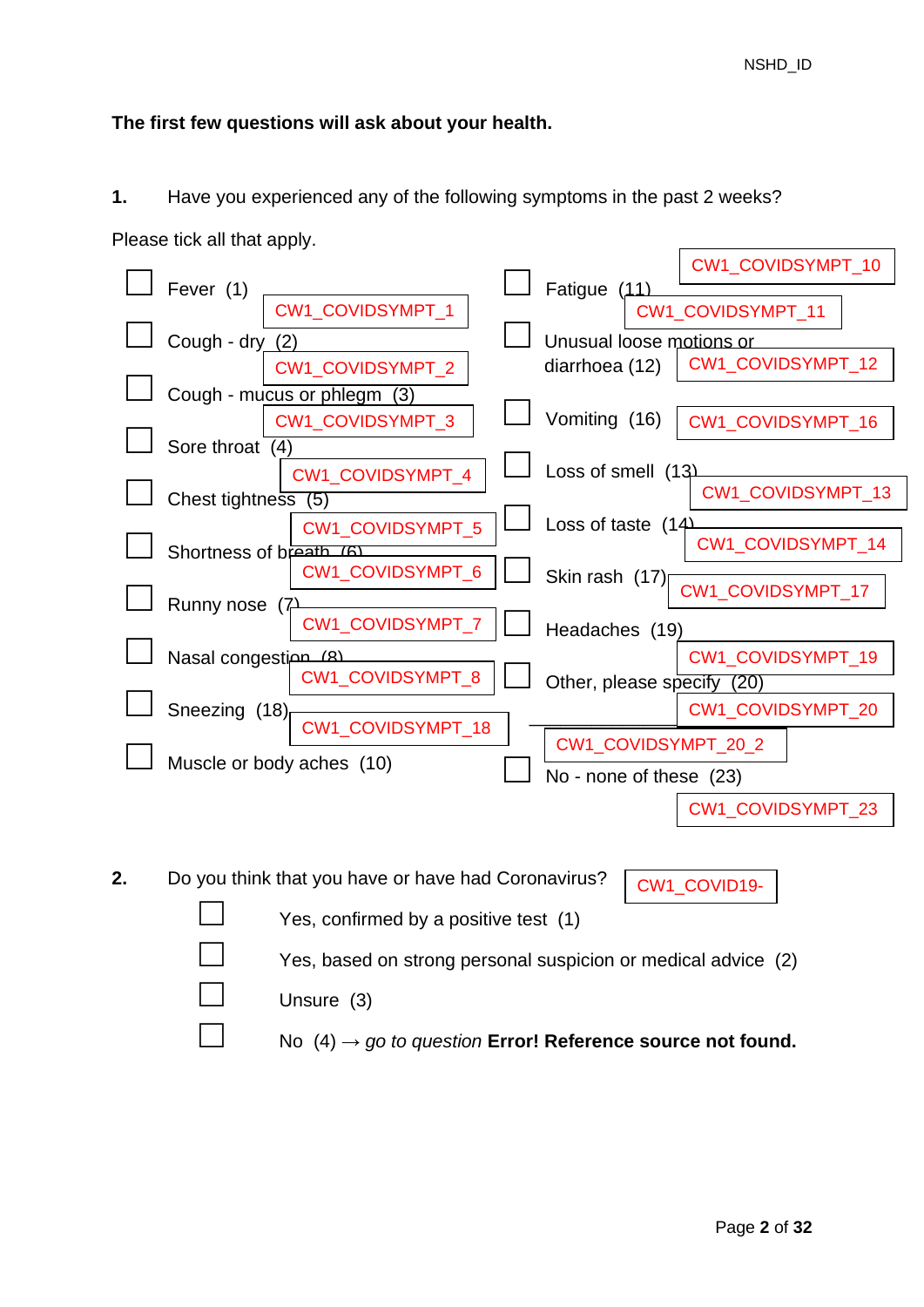## **The first few questions will ask about your health.**

**1.** Have you experienced any of the following symptoms in the past 2 weeks?



**2.** Do you think that you have or have had Coronavirus? Yes, confirmed by a positive test (1) Yes, based on strong personal suspicion or medical advice (2) Unsure (3) CW1\_COVID19-

No  $(4) \rightarrow qo$  to question **Error! Reference source not found.**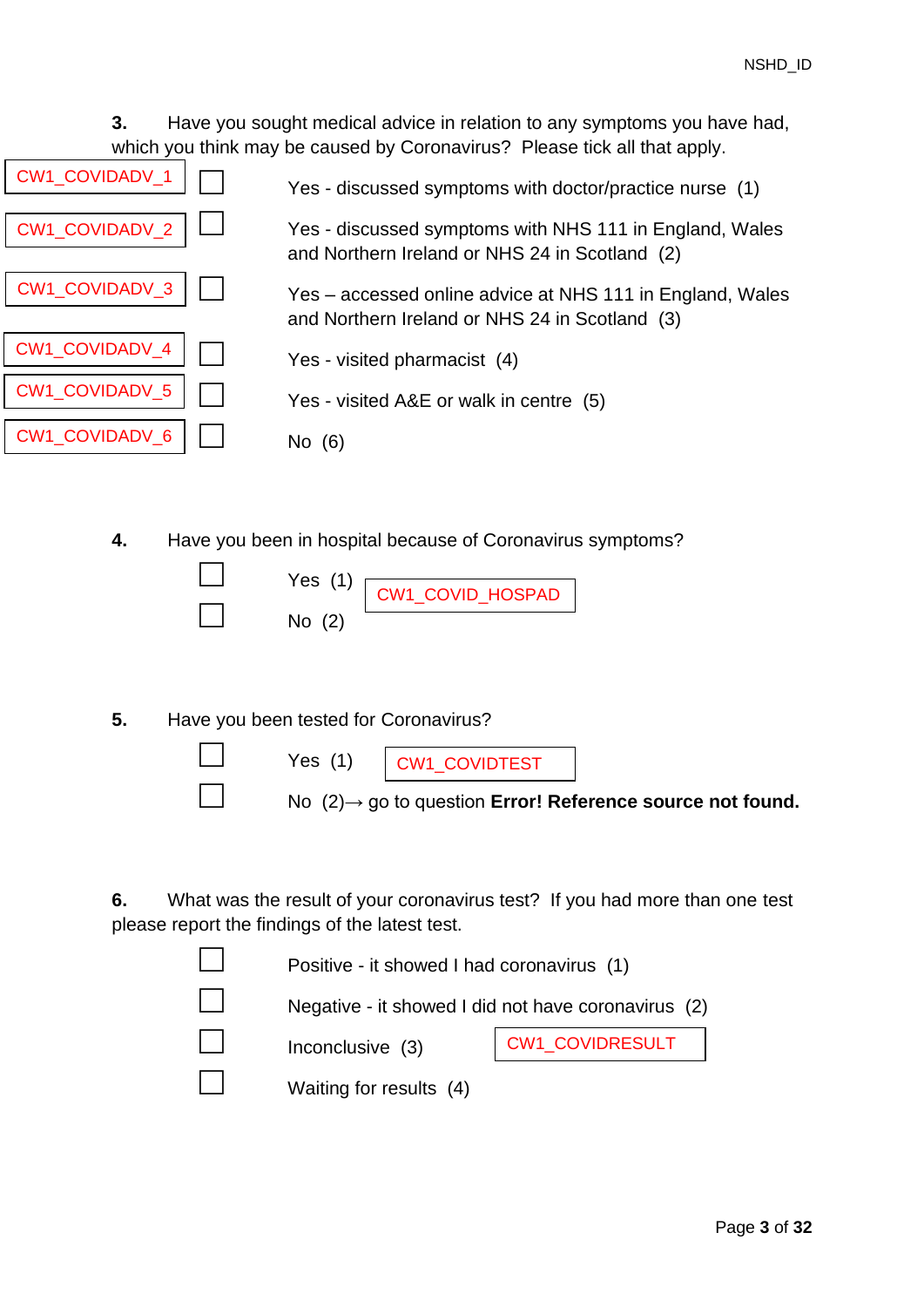**3.** Have you sought medical advice in relation to any symptoms you have had, which you think may be caused by Coronavirus? Please tick all that apply.

| <b>CW1 COVIDADV 1</b> | Yes - discussed symptoms with doctor/practice nurse (1)                                                     |
|-----------------------|-------------------------------------------------------------------------------------------------------------|
| CW1_COVIDADV_2        | Yes - discussed symptoms with NHS 111 in England, Wales<br>and Northern Ireland or NHS 24 in Scotland (2)   |
| CW1_COVIDADV_3        | Yes – accessed online advice at NHS 111 in England, Wales<br>and Northern Ireland or NHS 24 in Scotland (3) |
| <b>CW1 COVIDADV 4</b> | Yes - visited pharmacist (4)                                                                                |
| <b>CW1 COVIDADV 5</b> | Yes - visited A&E or walk in centre (5)                                                                     |
| <b>CW1 COVIDADV 6</b> | No (6)                                                                                                      |

**4.** Have you been in hospital because of Coronavirus symptoms?

| Yes (1)  | CW1_COVID_HOSPAD |
|----------|------------------|
| No $(2)$ |                  |

**5.** Have you been tested for Coronavirus?



**6.** What was the result of your coronavirus test? If you had more than one test please report the findings of the latest test.

| Positive - it showed I had coronavirus (1)          |                 |  |  |
|-----------------------------------------------------|-----------------|--|--|
| Negative - it showed I did not have coronavirus (2) |                 |  |  |
| Inconclusive (3)                                    | CW1_COVIDRESULT |  |  |
| Waiting for results (4)                             |                 |  |  |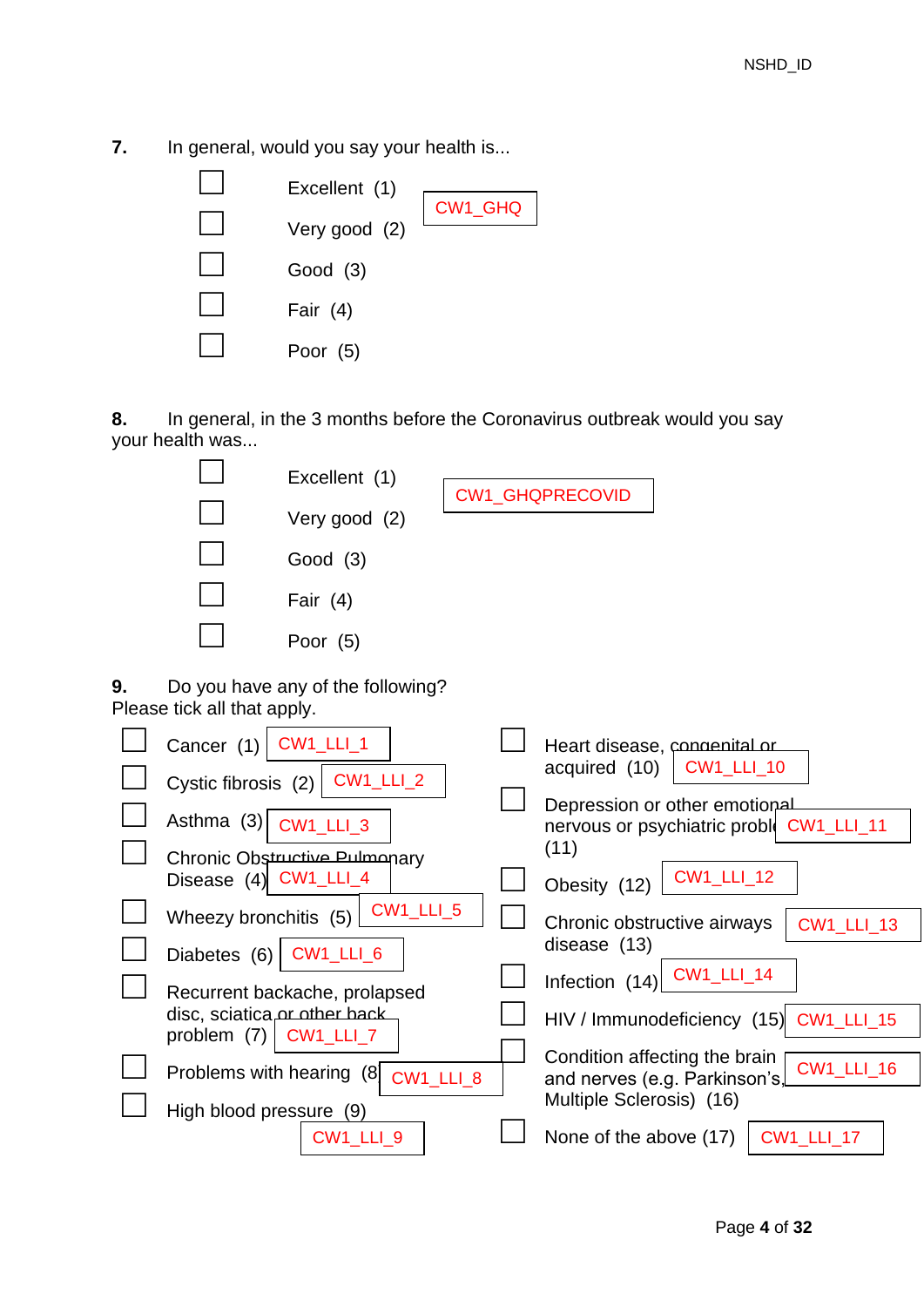**7.** In general, would you say your health is...

CW1\_LLI\_7

CW1\_LLI\_9

Problems with hearing (8)

High blood pressure (9)

problem (7)



**8.** In general, in the 3 months before the Coronavirus outbreak would you say your health was...

CW<sub>1</sub> LLI 8

|    |                                                                                                                                                    | Excellent (1)<br>Very good (2)<br>Good $(3)$<br>Fair $(4)$<br>Poor $(5)$                                                                                                                                                                              | <b>CW1_GHQPRECOVID</b>                                                                                                                                                                                                                                                                                                                                      |
|----|----------------------------------------------------------------------------------------------------------------------------------------------------|-------------------------------------------------------------------------------------------------------------------------------------------------------------------------------------------------------------------------------------------------------|-------------------------------------------------------------------------------------------------------------------------------------------------------------------------------------------------------------------------------------------------------------------------------------------------------------------------------------------------------------|
| 9. | Please tick all that apply.<br>Cancer (1)<br>Cystic fibrosis (2)<br>Asthma $(3)$<br>Disease (4) CW1_LLI_4<br>Wheezy bronchitis (5)<br>Diabetes (6) | Do you have any of the following?<br>$CW1$ <sub>_LLI_1</sub><br>$CW1$ <sub>_LLI_2</sub><br>CW1_LLI_3<br>Chronic Obstructive Pulmonary<br><b>CW1_LLI_5</b><br>$CW1$ <sub>_LLI_6</sub><br>Recurrent backache, prolapsed<br>disc, sciatica or other back | Heart disease, congenital or<br><b>CW1_LLI_10</b><br>acquired (10)<br>Depression or other emotional<br><b>CW1_LLI_11</b><br>nervous or psychiatric proble<br>(11)<br><b>CW1_LLI_12</b><br>Obesity (12)<br>Chronic obstructive airways<br><b>CW1_LLI_13</b><br>disease (13)<br><b>CW1_LLI_14</b><br>Infection (14)<br>HIV / Immunodeficiency (15) CW1_LLI_15 |

CW1\_LLI\_16

CW1\_LLI\_17

Condition affecting the brain and nerves (e.g. Parkinson's, Multiple Sclerosis) (16)

None of the above (17)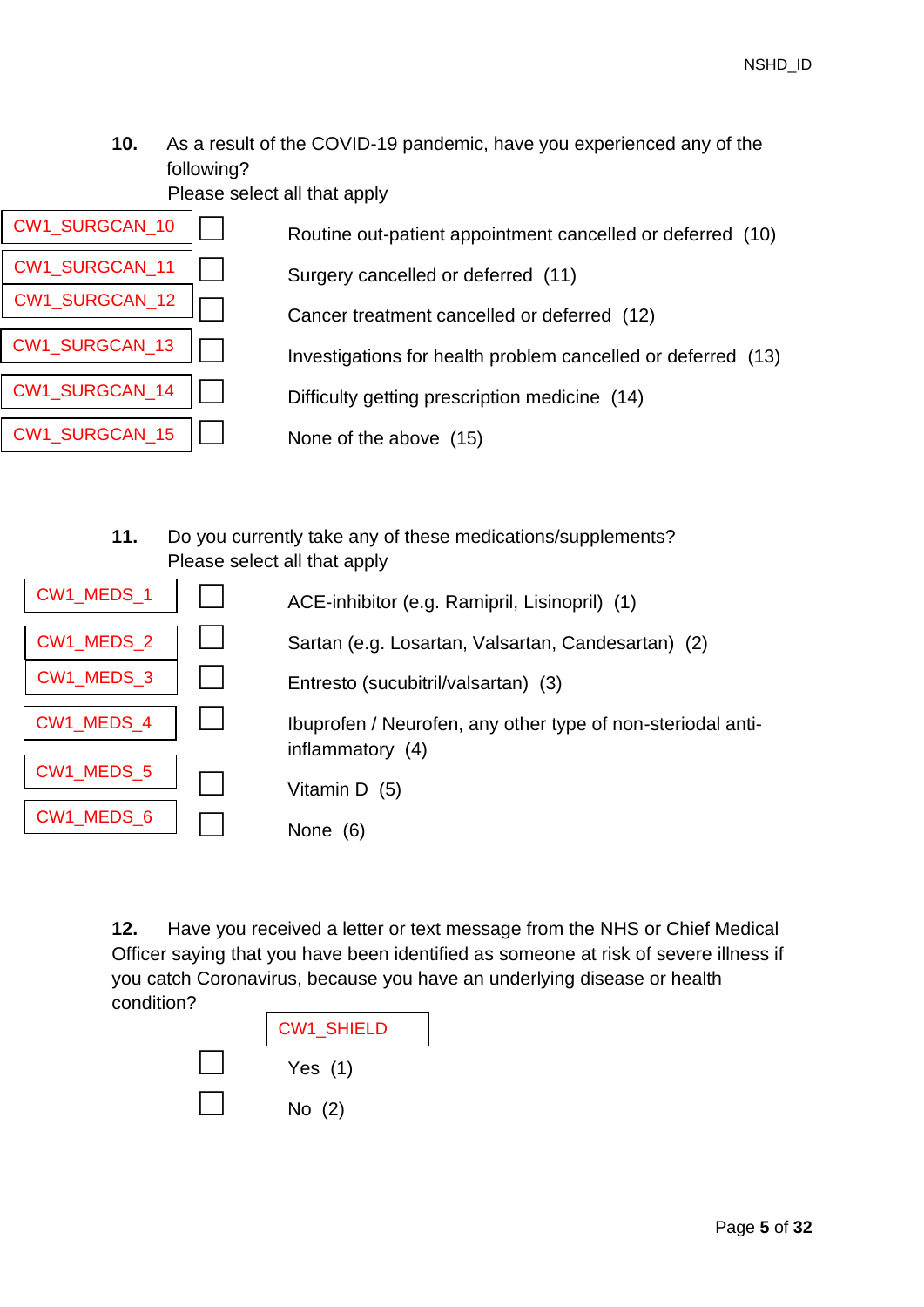**10.** As a result of the COVID-19 pandemic, have you experienced any of the following?

Please select all that apply

| CW1_SURGCAN_10 |  |
|----------------|--|
| CW1_SURGCAN_11 |  |
| CW1_SURGCAN_12 |  |
| CW1_SURGCAN_13 |  |
| CW1_SURGCAN_14 |  |
| CW1_SURGCAN_15 |  |
|                |  |

Routine out-patient appointment cancelled or deferred (10) Surgery cancelled or deferred (11) Cancer treatment cancelled or deferred (12)

Investigations for health problem cancelled or deferred (13)

Difficulty getting prescription medicine (14)

None of the above (15)

**11.** Do you currently take any of these medications/supplements? Please select all that apply

| CW1_MEDS_1 | ACE-inhibitor (e.g. Ramipril, Lisinopril) (1)                                   |
|------------|---------------------------------------------------------------------------------|
| CW1_MEDS_2 | Sartan (e.g. Losartan, Valsartan, Candesartan) (2)                              |
| CW1_MEDS_3 | Entresto (sucubitril/valsartan) (3)                                             |
| CW1_MEDS_4 | Ibuprofen / Neurofen, any other type of non-steriodal anti-<br>inflammatory (4) |
|            |                                                                                 |
| CW1_MEDS_5 | Vitamin D (5)                                                                   |
|            |                                                                                 |
| CW1_MEDS_6 | None $(6)$                                                                      |

**12.** Have you received a letter or text message from the NHS or Chief Medical Officer saying that you have been identified as someone at risk of severe illness if you catch Coronavirus, because you have an underlying disease or health condition?

| CW1_SHIELD |
|------------|
| Yes $(1)$  |
| No (2)     |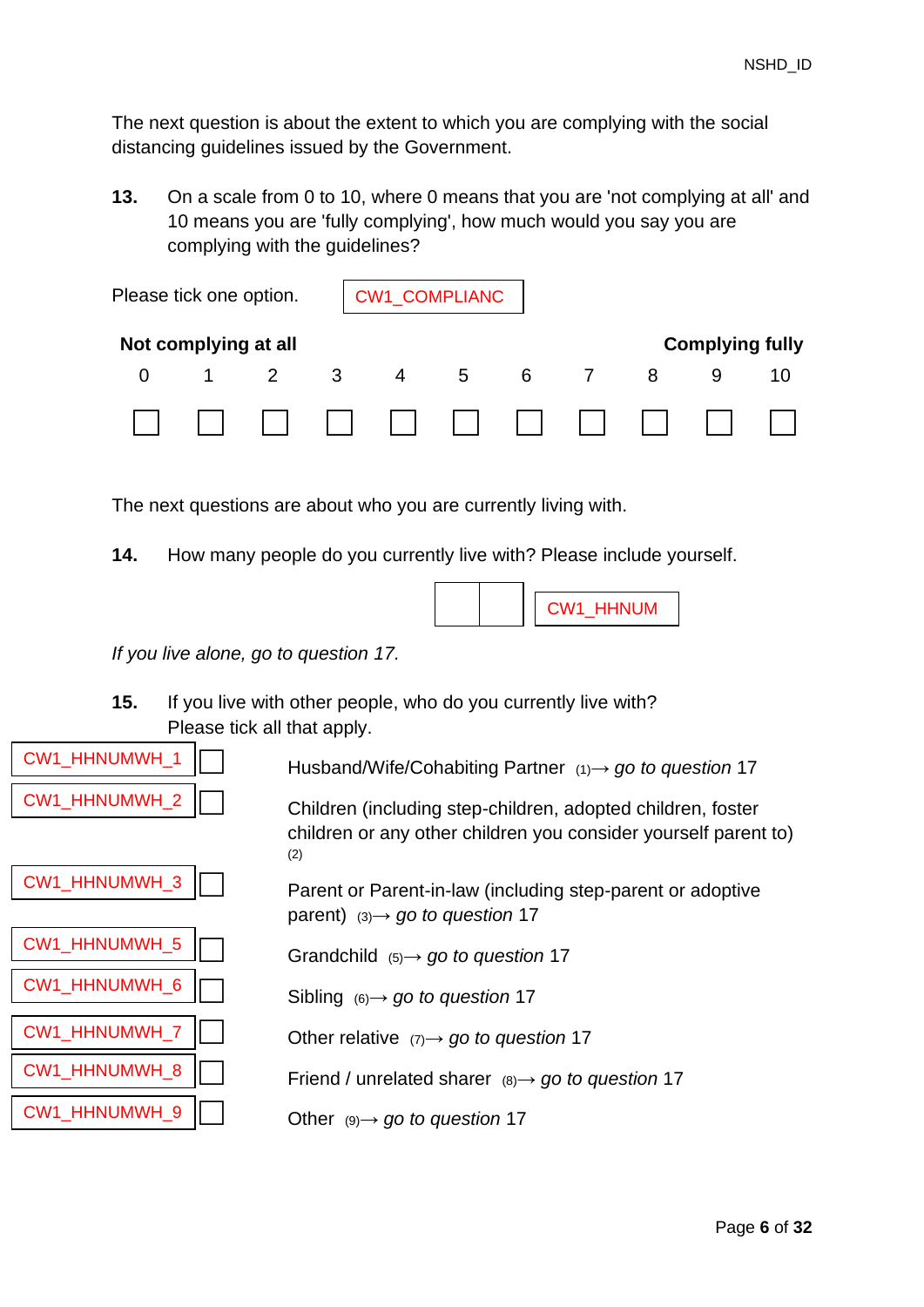The next question is about the extent to which you are complying with the social distancing guidelines issued by the Government.

**13.** On a scale from 0 to 10, where 0 means that you are 'not complying at all' and 10 means you are 'fully complying', how much would you say you are complying with the guidelines?

| Please tick one option. |                      |   | CW1_COMPLIANC  |   |   |            |   |                        |  |
|-------------------------|----------------------|---|----------------|---|---|------------|---|------------------------|--|
|                         | Not complying at all |   |                |   |   |            |   | <b>Complying fully</b> |  |
|                         |                      | 3 | $\overline{4}$ | 5 | 6 | $\sqrt{2}$ | 8 |                        |  |
|                         |                      |   |                |   |   |            |   |                        |  |

The next questions are about who you are currently living with.

**14.** How many people do you currently live with? Please include yourself.

CW1\_HHNUM

*If you live alone, go to question 17.*

**15.** If you live with other people, who do you currently live with? Please tick all that apply.



□ Husband/Wife/Cohabiting Partner (1)→ *go to question* <sup>17</sup>

Children (including step-children, adopted children, foster children or any other children you consider yourself parent to) (2)

Parent or Parent-in-law (including step-parent or adoptive parent) (3)→ *go to question* 17

□ Grandchild (5)→ *go to question* <sup>17</sup>

□ Sibling (6)→ *go to question* <sup>17</sup>

□ Other relative (7)→ *go to question* <sup>17</sup>

□ Friend / unrelated sharer (8)→ *go to question* <sup>17</sup>

Other (9)→ *go to question* 17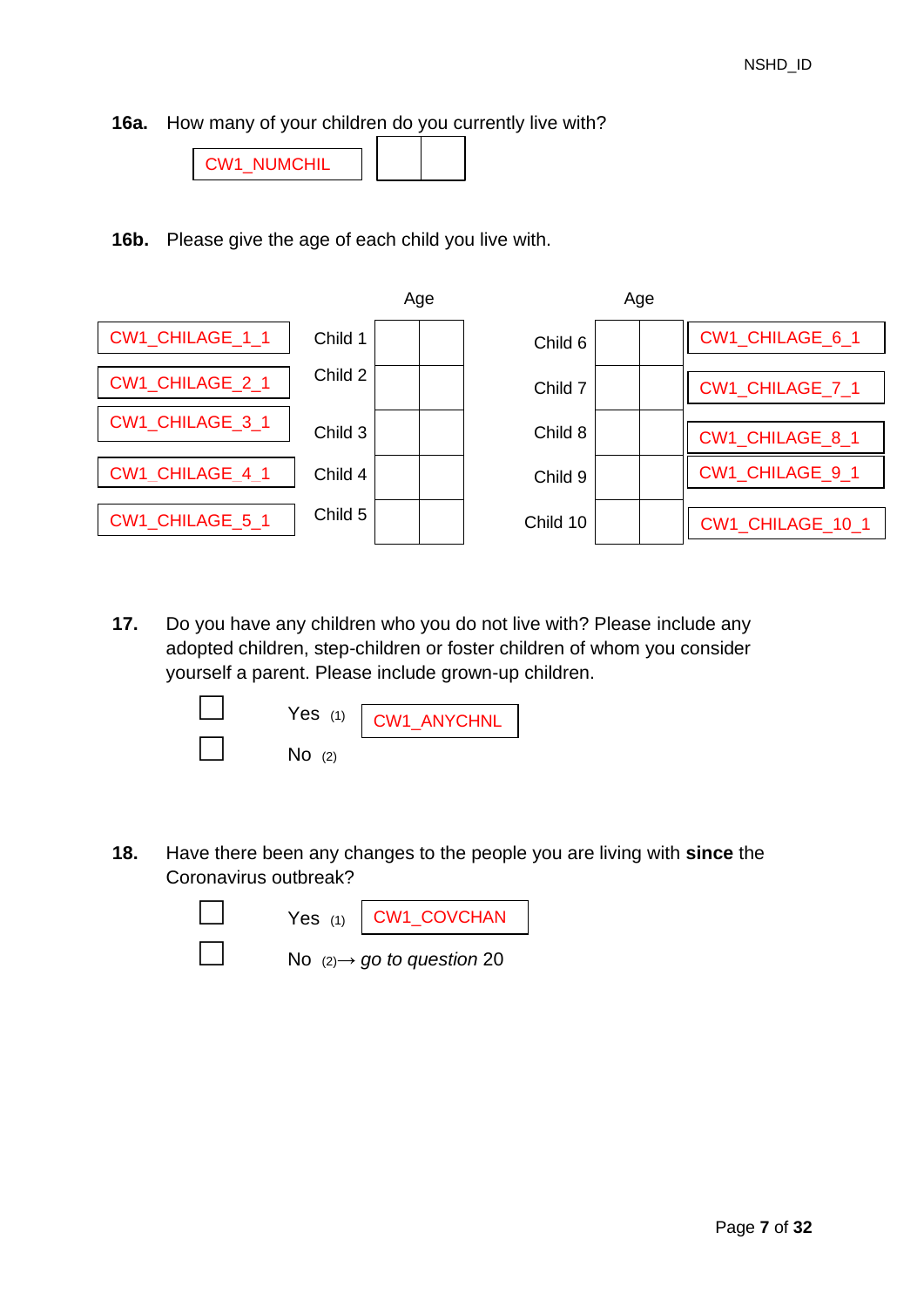**16a.** How many of your children do you currently live with?

| .<br>. . |  |  |
|----------|--|--|
|----------|--|--|

**16b.** Please give the age of each child you live with.



**17.** Do you have any children who you do not live with? Please include any adopted children, step-children or foster children of whom you consider yourself a parent. Please include grown-up children.



**18.** Have there been any changes to the people you are living with **since** the Coronavirus outbreak?

|  | Yes (1) CW1_COVCHAN                    |
|--|----------------------------------------|
|  | No $(2) \rightarrow go$ to question 20 |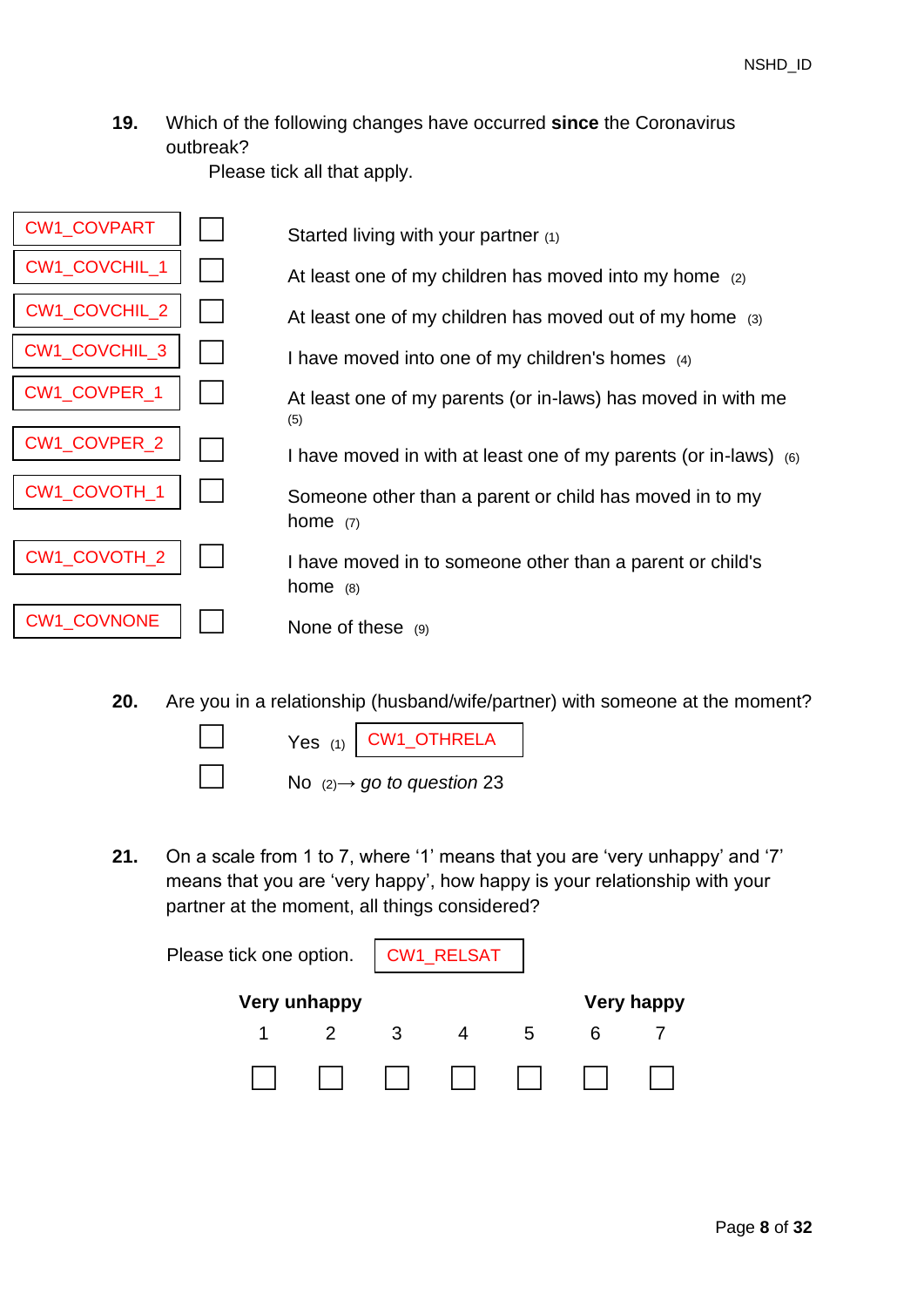**19.** Which of the following changes have occurred **since** the Coronavirus outbreak?

Please tick all that apply.

| CW1_COVPART        | Started living with your partner (1)                                    |
|--------------------|-------------------------------------------------------------------------|
| CW1_COVCHIL_1      | At least one of my children has moved into my home (2)                  |
| CW1_COVCHIL_2      | At least one of my children has moved out of my home (3)                |
| CW1_COVCHIL_3      | I have moved into one of my children's homes $(4)$                      |
| CW1_COVPER_1       | At least one of my parents (or in-laws) has moved in with me<br>(5)     |
| CW1_COVPER_2       | I have moved in with at least one of my parents (or in-laws) $(6)$      |
| CW1_COVOTH_1       | Someone other than a parent or child has moved in to my<br>home $(7)$   |
| CW1_COVOTH_2       | I have moved in to someone other than a parent or child's<br>home $(8)$ |
| <b>CW1_COVNONE</b> | None of these $(9)$                                                     |

<span id="page-7-0"></span>**20.** Are you in a relationship (husband/wife/partner) with someone at the moment?  $20.$ change in the set of the set of the set of the set of the set of the set of the set of the set of the set of the set of the set of the set of the set of the set of the set of the set of the set of the set of the set of the



Yes  $(1)$ CW1\_OTHRELA

□ No (2)→ *go to question* [23](#page-8-0)

**21.** On a scale from 1 to 7, where '1' means that you are 'very unhappy' and '7' means that you are 'very happy', how happy is your relationship with your partner at the moment, all things considered?

| Please tick one option.   CW1_RELSAT |  |              |  |   |   |            |
|--------------------------------------|--|--------------|--|---|---|------------|
|                                      |  | Very unhappy |  |   |   | Very happy |
|                                      |  |              |  | 5 | ห |            |
|                                      |  |              |  |   |   |            |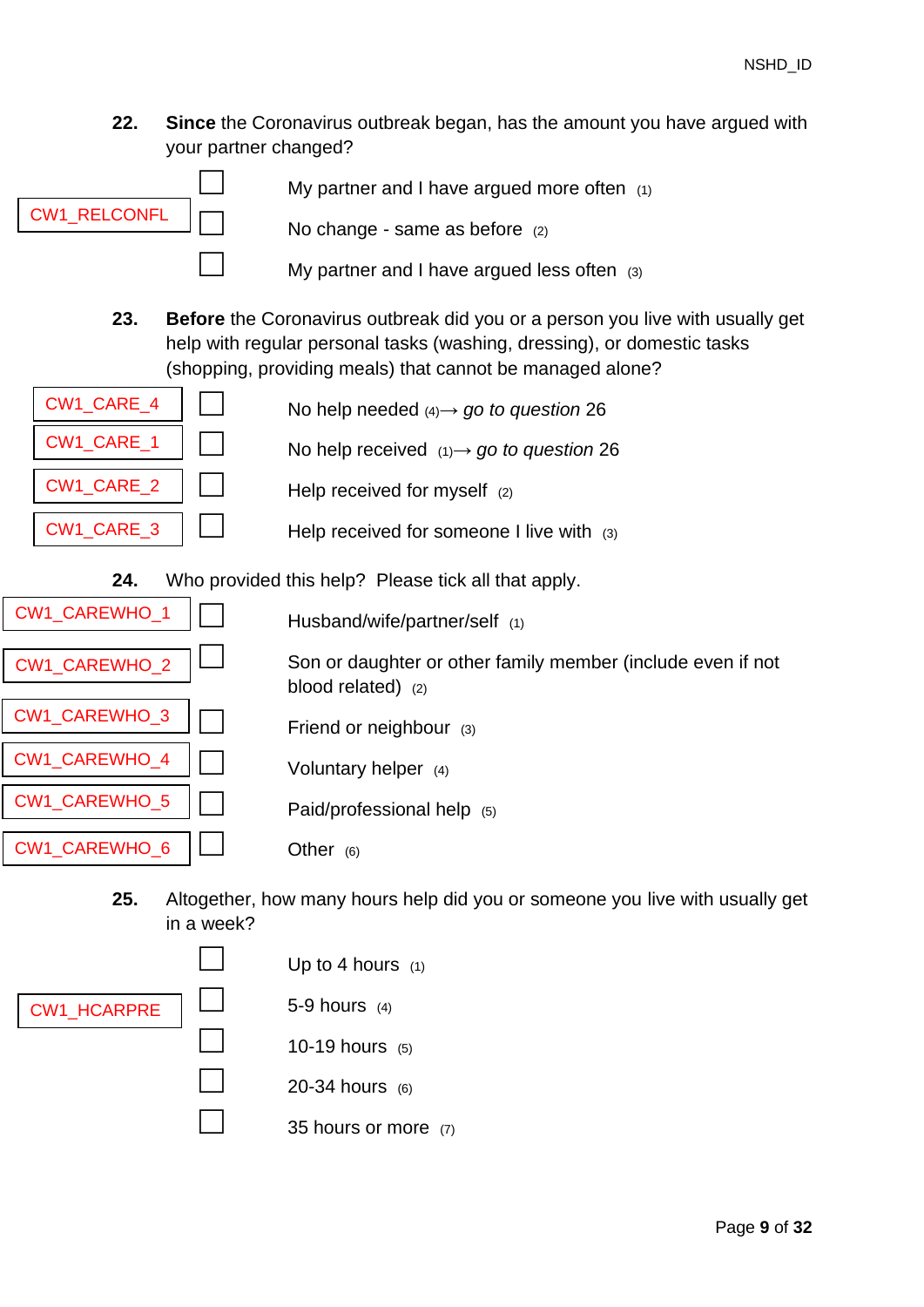**22. Since** the Coronavirus outbreak began, has the amount you have argued with your partner changed?



My partner and I have argued more often  $(1)$ 

No change - same as before  $(2)$ 

My partner and I have argued less often  $(3)$ 

<span id="page-8-0"></span>**23. Before** the Coronavirus outbreak did you or a person you live with usually get help with regular personal tasks (washing, dressing), or domestic tasks (shopping, providing meals) that cannot be managed alone?



□ No help needed (4)→ *go to question* [26](#page-9-0)

□ No help received (1)→ *go to question* [26](#page-9-0)

Help received for myself  $(2)$ 

Help received for someone I live with  $(3)$ 

**24.** Who provided this help? Please tick all that apply.



Husband/wife/partner/self (1)

Son or daughter or other family member (include even if not blood related) (2)

Friend or neighbour (3)

Voluntary helper (4)

Paid/professional help (5)

Other  $(6)$ 

**25.** Altogether, how many hours help did you or someone you live with usually get in a week?

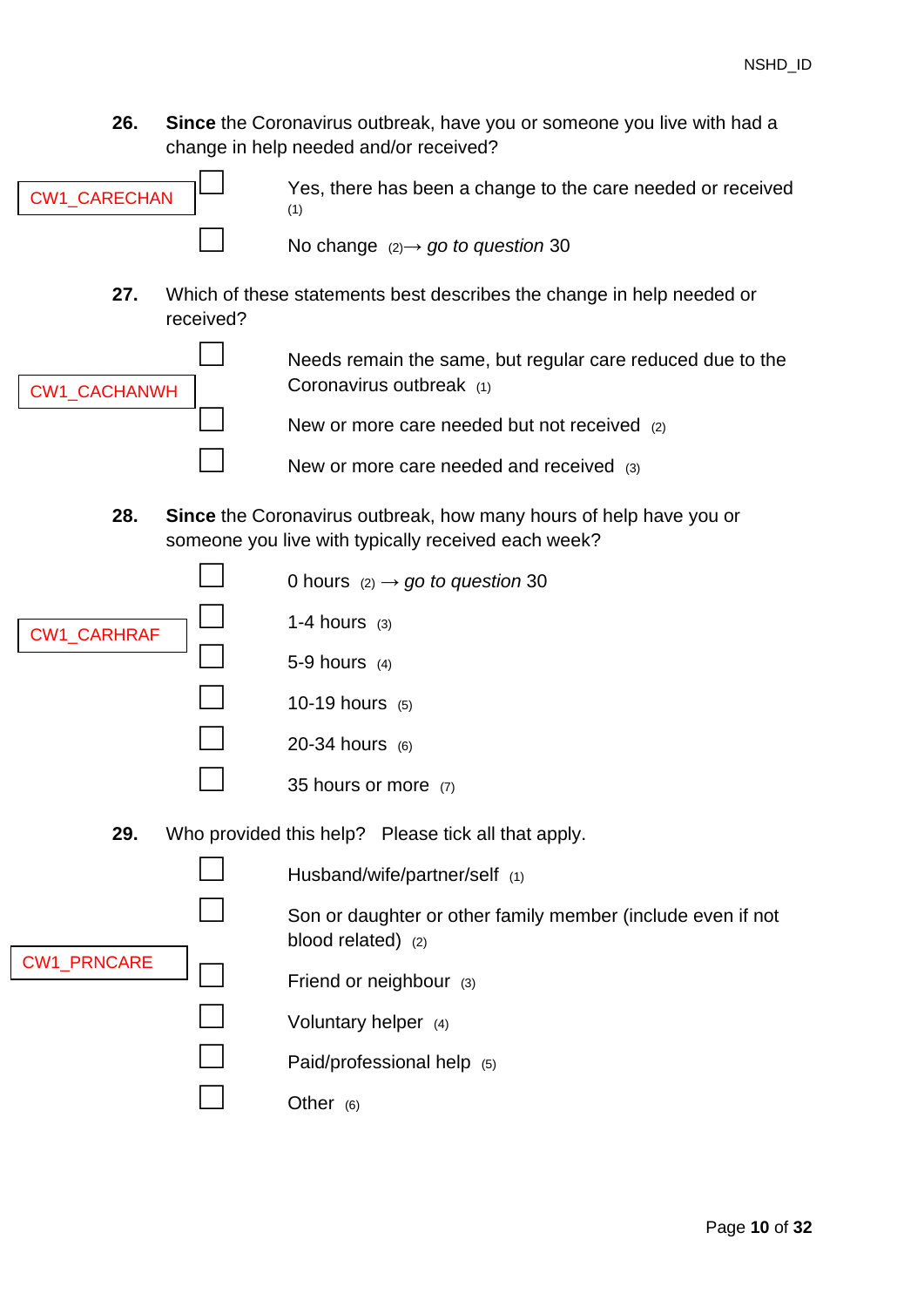<span id="page-9-0"></span>**26. Since** the Coronavirus outbreak, have you or someone you live with had a change in help needed and/or received?

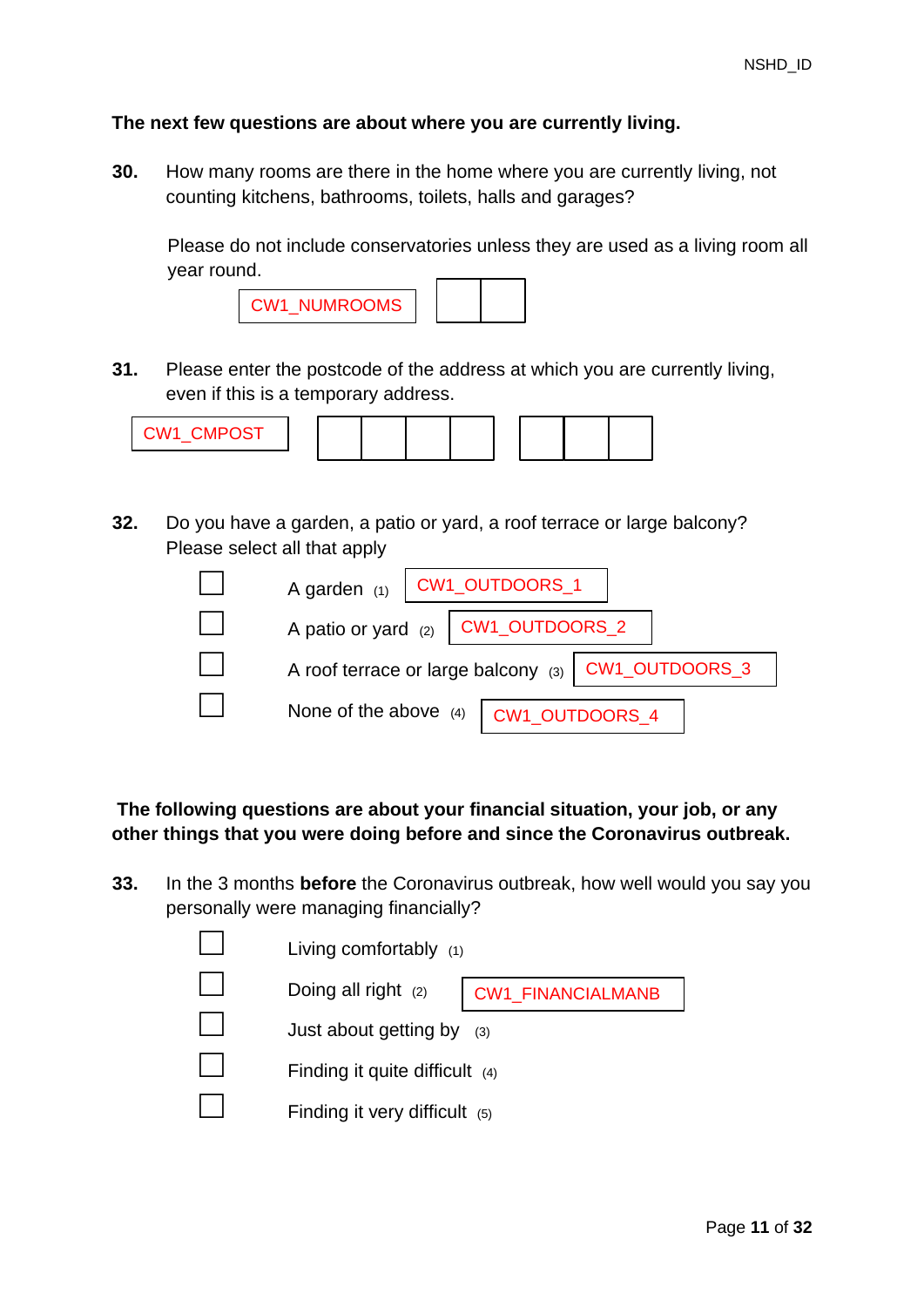#### **The next few questions are about where you are currently living.**

<span id="page-10-0"></span>**30.** How many rooms are there in the home where you are currently living, not counting kitchens, bathrooms, toilets, halls and garages?

Please do not include conservatories unless they are used as a living room all year round.

**31.** Please enter the postcode of the address at which you are currently living, even if this is a temporary address.

**32.** Do you have a garden, a patio or yard, a roof terrace or large balcony? Please select all that apply

| A garden (1)   CW1_OUTDOORS_1                        |
|------------------------------------------------------|
| A patio or yard $(2)$ CW1_OUTDOORS_2                 |
| A roof terrace or large balcony (3)   CW1_OUTDOORS_3 |
| None of the above (4)   CW1_OUTDOORS_4               |

### **The following questions are about your financial situation, your job, or any other things that you were doing before and since the Coronavirus outbreak.**

**33.** In the 3 months **before** the Coronavirus outbreak, how well would you say you personally were managing financially?

| Living comfortably (1)           |                          |
|----------------------------------|--------------------------|
| Doing all right (2)              | <b>CW1_FINANCIALMANB</b> |
| Just about getting by            | (3)                      |
| Finding it quite difficult $(4)$ |                          |
| Finding it very difficult $(5)$  |                          |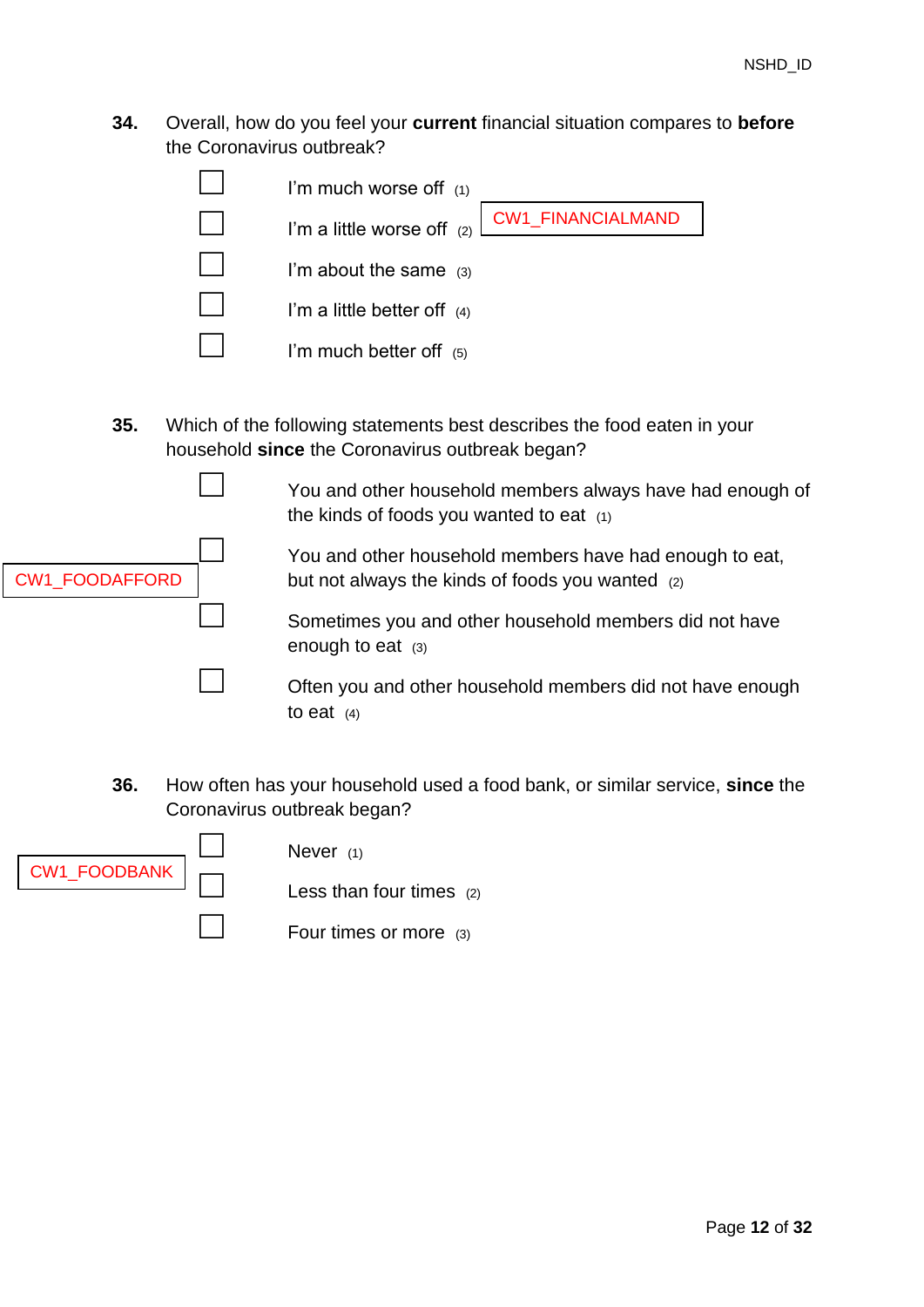**34.** Overall, how do you feel your **current** financial situation compares to **before** the Coronavirus outbreak?



**35.** Which of the following statements best describes the food eaten in your household **since** the Coronavirus outbreak began?

> You and other household members always have had enough of the kinds of foods you wanted to eat (1)



You and other household members have had enough to eat, but not always the kinds of foods you wanted (2)

Sometimes you and other household members did not have enough to eat (3)

Often you and other household members did not have enough to eat  $(4)$ 

**36.** How often has your household used a food bank, or similar service, **since** the Coronavirus outbreak began?



Never (1)

Less than four times  $(2)$ 

Four times or more (3)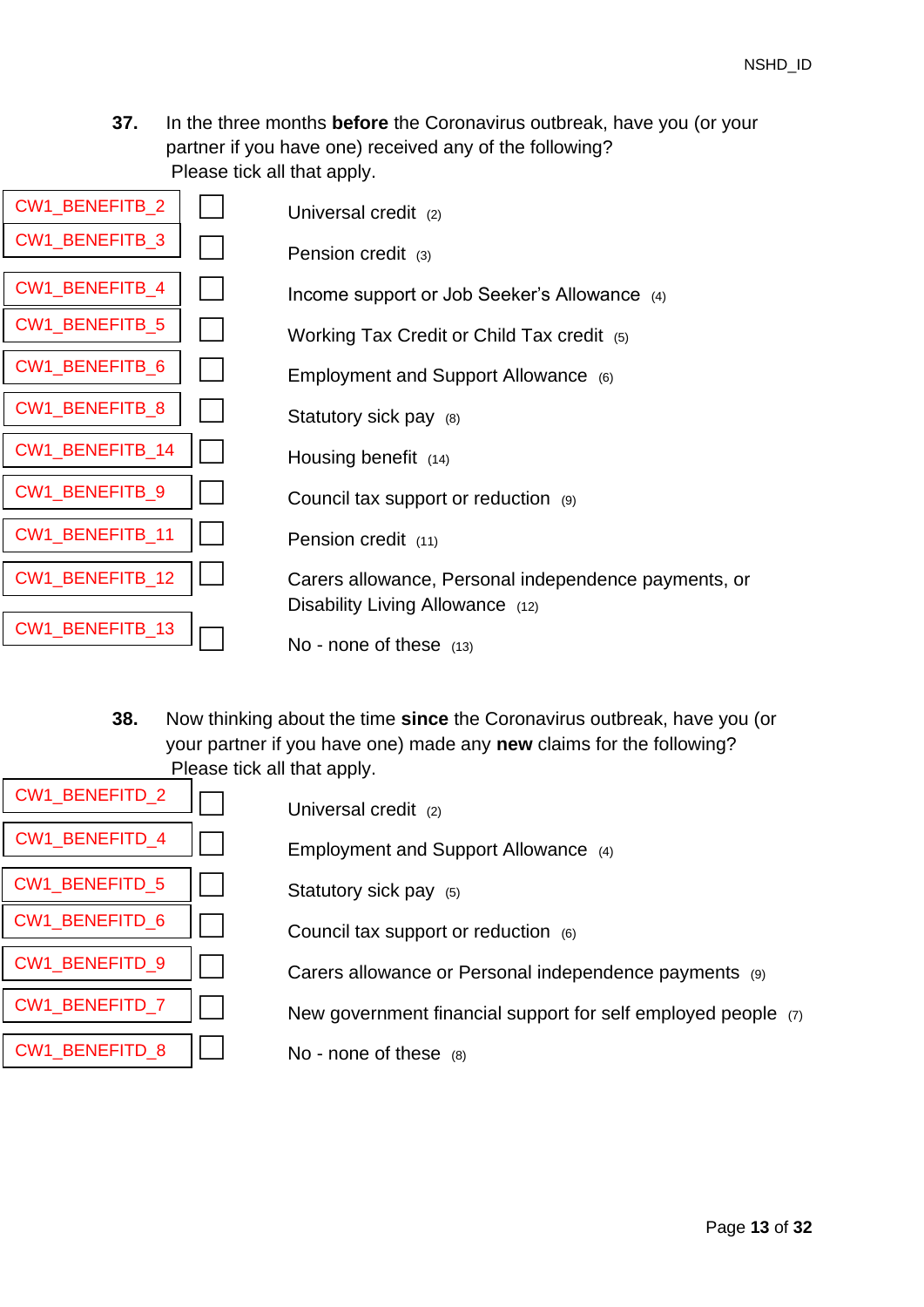**37.** In the three months **before** the Coronavirus outbreak, have you (or your partner if you have one) received any of the following? Please tick all that apply.

| CW1_BENEFITB_2  | Universal credit (2)                                 |
|-----------------|------------------------------------------------------|
| CW1_BENEFITB_3  | Pension credit (3)                                   |
|                 |                                                      |
| CW1_BENEFITB_4  | Income support or Job Seeker's Allowance (4)         |
| CW1_BENEFITB_5  |                                                      |
|                 | Working Tax Credit or Child Tax credit (5)           |
| CW1_BENEFITB_6  | Employment and Support Allowance (6)                 |
|                 |                                                      |
| CW1_BENEFITB_8  | Statutory sick pay (8)                               |
| CW1_BENEFITB_14 |                                                      |
|                 | Housing benefit (14)                                 |
| CW1_BENEFITB_9  |                                                      |
|                 | Council tax support or reduction (9)                 |
| CW1_BENEFITB_11 | Pension credit (11)                                  |
|                 |                                                      |
| CW1_BENEFITB_12 | Carers allowance, Personal independence payments, or |
|                 | Disability Living Allowance (12)                     |
| CW1_BENEFITB_13 |                                                      |
|                 | No - none of these $(13)$                            |

**38.** Now thinking about the time **since** the Coronavirus outbreak, have you (or your partner if you have one) made any **new** claims for the following? Please tick all that apply.

| <b>CW1 BENEFITD 2</b> |  |
|-----------------------|--|
| CW1 BENEFITD 4        |  |
| <b>CW1 BENEFITD 5</b> |  |
| <b>CW1 BENEFITD 6</b> |  |
| <b>CW1 BENEFITD 9</b> |  |
| <b>CW1 BENEFITD 7</b> |  |
| <b>CW1 BENEFITD 8</b> |  |

Universal credit (2)

Employment and Support Allowance (4)

Statutory sick pay (5)

Council tax support or reduction  $(6)$ 

Carers allowance or Personal independence payments (9)

New government financial support for self employed people  $(7)$ 

 $No$  - none of these  $(8)$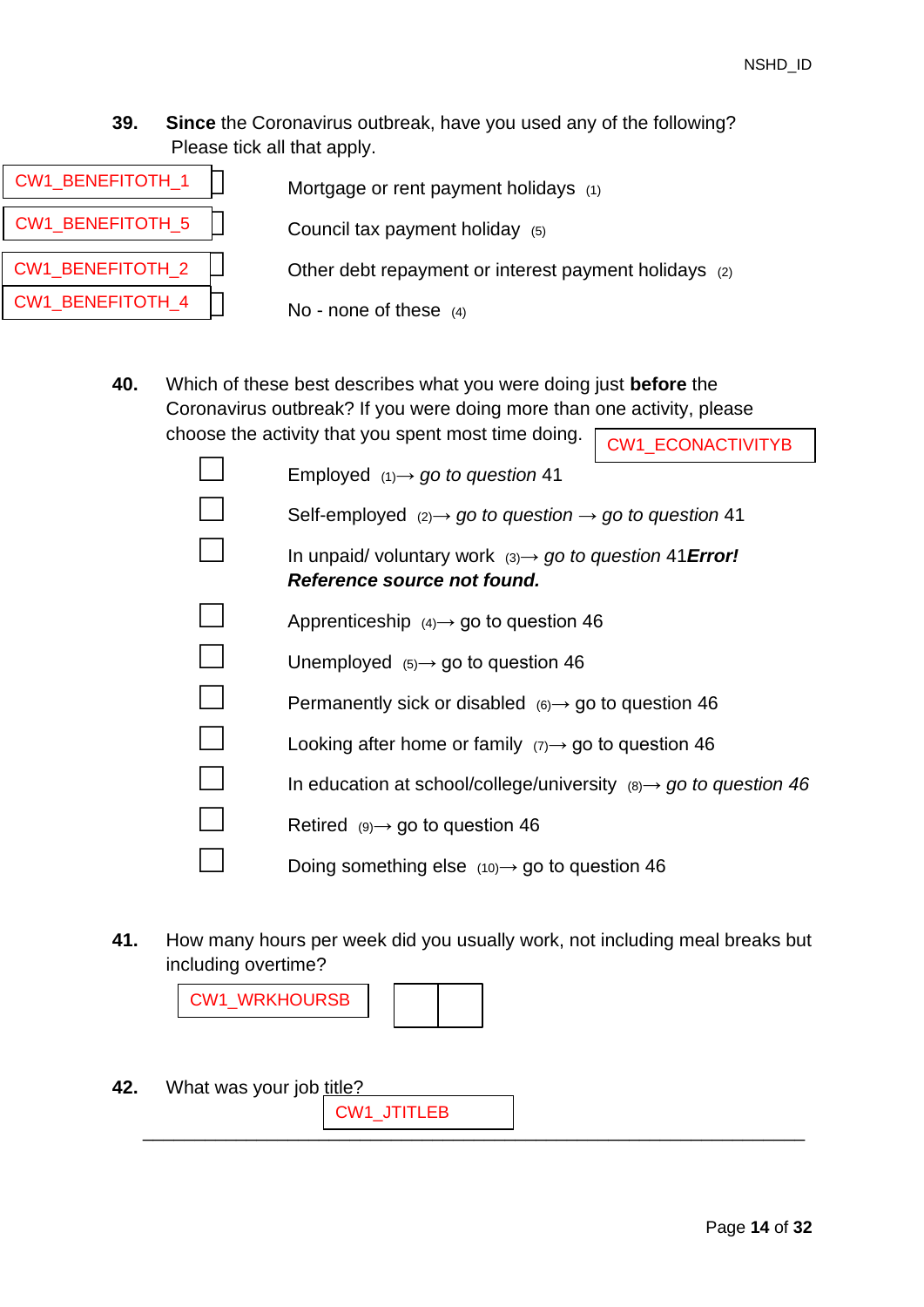**39. Since** the Coronavirus outbreak, have you used any of the following? Please tick all that apply.

| CW1_BENEFITOTH_1 | Mortgage or rent payment holidays (1)                 |  |
|------------------|-------------------------------------------------------|--|
| CW1_BENEFITOTH_5 | Council tax payment holiday (5)                       |  |
| CW1_BENEFITOTH_2 | Other debt repayment or interest payment holidays (2) |  |
| CW1_BENEFITOTH_4 | No - none of these $(4)$                              |  |

**40.** Which of these best describes what you were doing just **before** the Coronavirus outbreak? If you were doing more than one activity, please choose the activity that you spent most time doing. CW1\_ECONACTIVITYB

|                                                                                                            | <u> UWELLUUMIUIIVII I D</u> |
|------------------------------------------------------------------------------------------------------------|-----------------------------|
| Employed $(1) \rightarrow go$ to question 41                                                               |                             |
| Self-employed $(2) \rightarrow go$ to question $\rightarrow go$ to question 41                             |                             |
| In unpaid/ voluntary work $(3) \rightarrow go$ to question 41 <b>Error!</b><br>Reference source not found. |                             |
| Apprenticeship $(4) \rightarrow$ go to question 46                                                         |                             |
| Unemployed $(5) \rightarrow$ go to question 46                                                             |                             |
| Permanently sick or disabled $(6) \rightarrow 90$ to question 46                                           |                             |
| Looking after home or family $(7) \rightarrow 90$ to question 46                                           |                             |
| In education at school/college/university $(8) \rightarrow$ go to question 46                              |                             |
| Retired $(9) \rightarrow 90$ to question 46                                                                |                             |
| Doing something else $(10) \rightarrow$ go to question 46                                                  |                             |

<span id="page-13-0"></span>**41.** How many hours per week did you usually work, not including meal breaks but including overtime?

CW1\_WRKHOURSB



**42.** What was your job title?

\_\_\_\_\_\_\_\_\_\_\_\_\_\_\_\_\_\_\_\_\_\_\_\_\_\_\_\_\_\_\_\_\_\_\_\_\_\_\_\_\_\_\_\_\_\_\_\_\_\_\_\_\_\_\_\_\_\_\_\_\_\_\_\_ CW1\_JTITLEB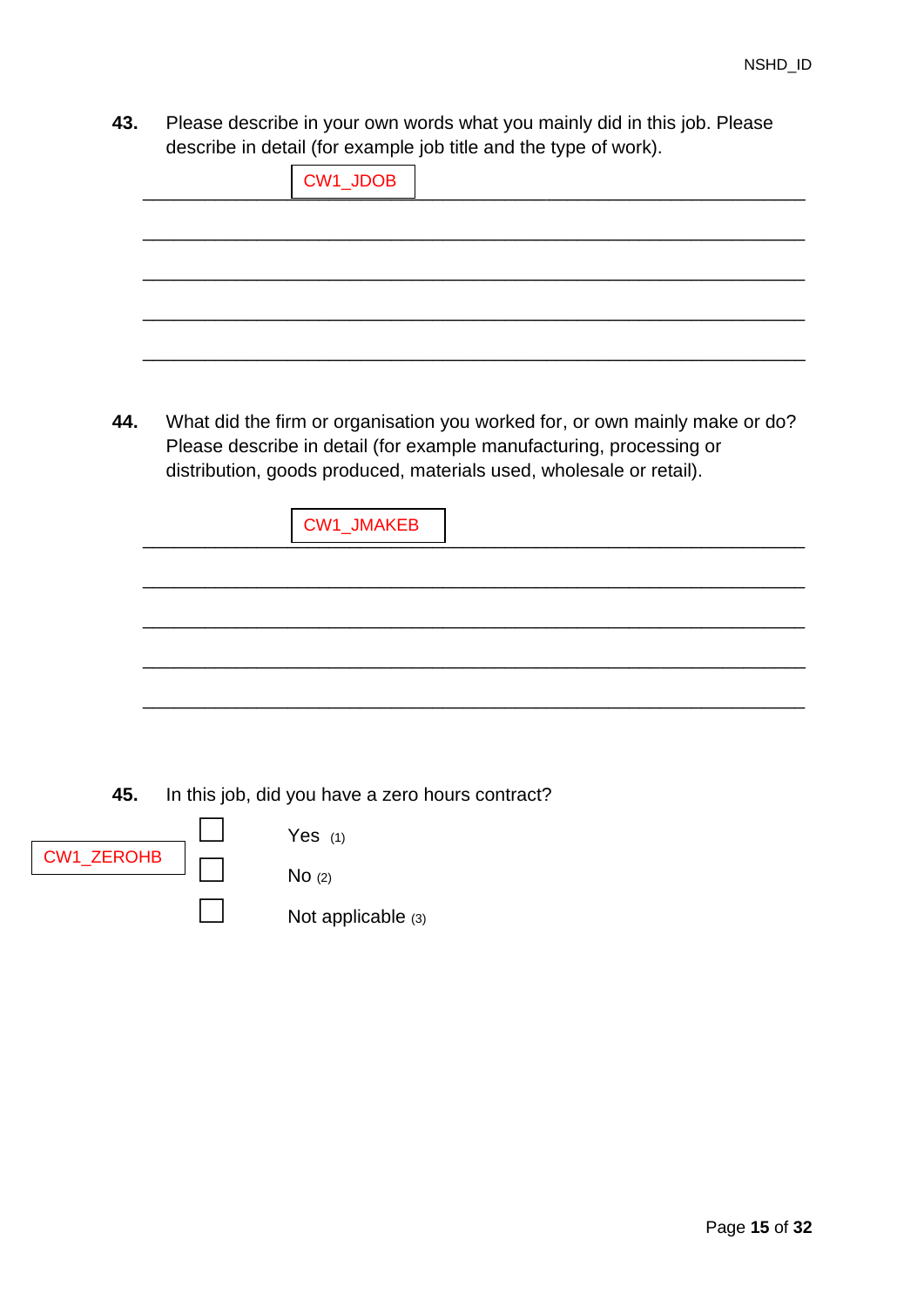**43.** Please describe in your own words what you mainly did in this job. Please describe in detail (for example job title and the type of work).

|     | CW1_JDOB                                                                                                                                                                                                                                |
|-----|-----------------------------------------------------------------------------------------------------------------------------------------------------------------------------------------------------------------------------------------|
|     |                                                                                                                                                                                                                                         |
|     |                                                                                                                                                                                                                                         |
|     |                                                                                                                                                                                                                                         |
|     |                                                                                                                                                                                                                                         |
| 44. | What did the firm or organisation you worked for, or own mainly make or do?<br>Please describe in detail (for example manufacturing, processing or<br>distribution, goods produced, materials used, wholesale or retail).<br>CW1_JMAKEB |
|     |                                                                                                                                                                                                                                         |
|     |                                                                                                                                                                                                                                         |
|     |                                                                                                                                                                                                                                         |
|     |                                                                                                                                                                                                                                         |
|     |                                                                                                                                                                                                                                         |
| 45. | In this job, did you have a zero hours contract?<br>г                                                                                                                                                                                   |

|            | Yes $(1)$            |
|------------|----------------------|
| CW1_ZEROHB | No(2)                |
|            | Not applicable $(3)$ |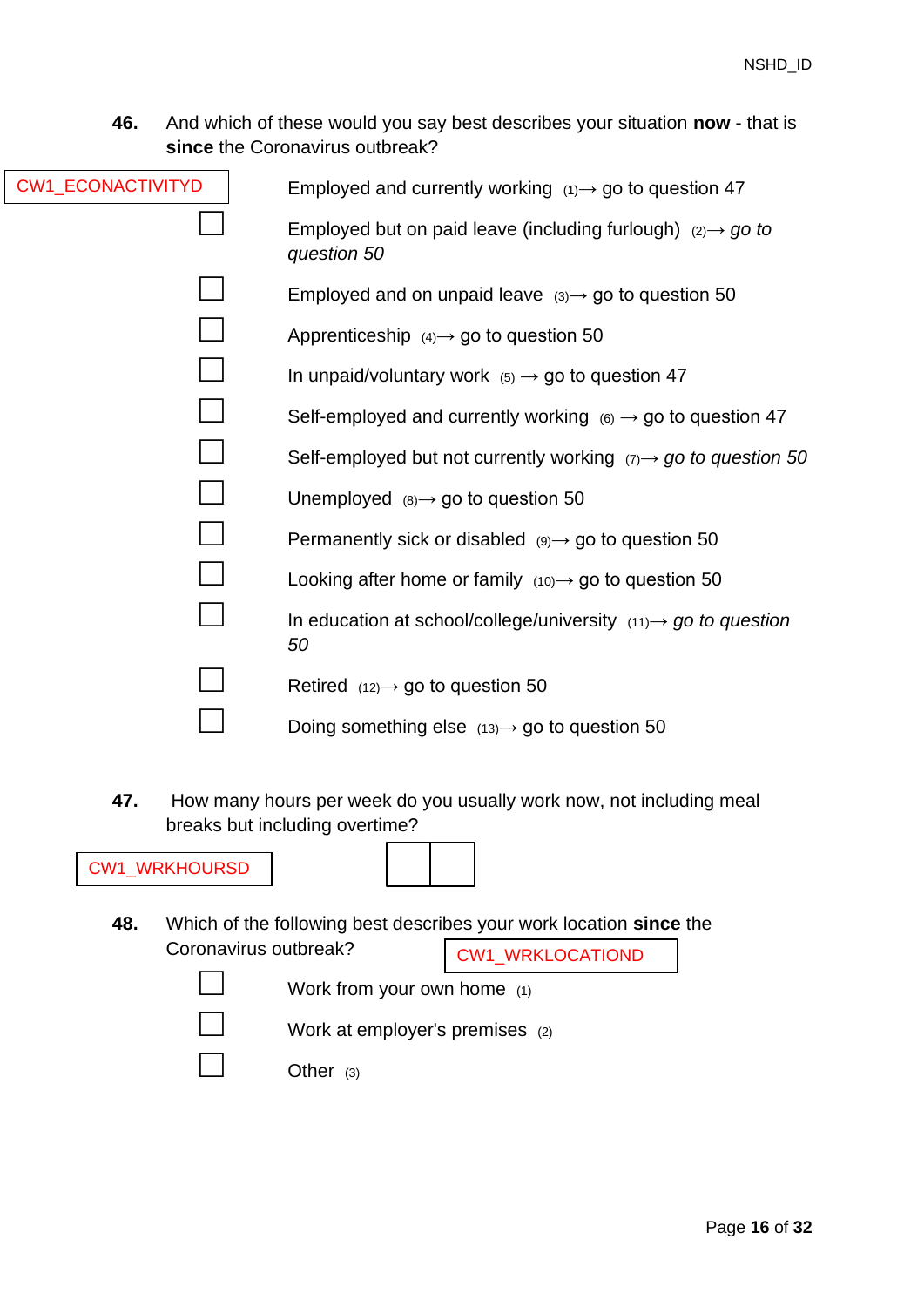<span id="page-15-0"></span>**46.** And which of these would you say best describes your situation **now** - that is **since** the Coronavirus outbreak?

| CW1_ECONACTIVITYD | Employed and currently working $(1) \rightarrow 0$ to question 47                           |
|-------------------|---------------------------------------------------------------------------------------------|
|                   | Employed but on paid leave (including furlough) $(2) \rightarrow g\sigma$ to<br>question 50 |
|                   | Employed and on unpaid leave $(3) \rightarrow 90$ to question 50                            |
|                   | Apprenticeship $(4) \rightarrow$ go to question 50                                          |
|                   | In unpaid/voluntary work $(5) \rightarrow$ go to question 47                                |
|                   | Self-employed and currently working $(6) \rightarrow 90$ to question 47                     |
|                   | Self-employed but not currently working $(7) \rightarrow 90$ to question 50                 |
|                   | Unemployed $(8) \rightarrow$ go to question 50                                              |
|                   | Permanently sick or disabled $(9) \rightarrow 90$ to question 50                            |
|                   | Looking after home or family $(10) \rightarrow$ go to question 50                           |
|                   | In education at school/college/university $(11) \rightarrow$ go to question<br>50           |
|                   | Retired $(12) \rightarrow$ go to question 50                                                |
|                   | Doing something else $(13) \rightarrow$ go to question 50                                   |
|                   |                                                                                             |

<span id="page-15-1"></span>**47.** How many hours per week do you usually work now, not including meal breaks but including overtime?

|     | <b>CW1 WRKHOURSD</b>  |                                 |  |  |                                                                    |  |
|-----|-----------------------|---------------------------------|--|--|--------------------------------------------------------------------|--|
|     |                       |                                 |  |  |                                                                    |  |
| 48. |                       |                                 |  |  | Which of the following best describes your work location since the |  |
|     | Coronavirus outbreak? |                                 |  |  | <b>CW1_WRKLOCATIOND</b>                                            |  |
|     |                       | Work from your own home $(1)$   |  |  |                                                                    |  |
|     |                       | Work at employer's premises (2) |  |  |                                                                    |  |
|     |                       | .)ther                          |  |  |                                                                    |  |

 $\overline{\phantom{a}}$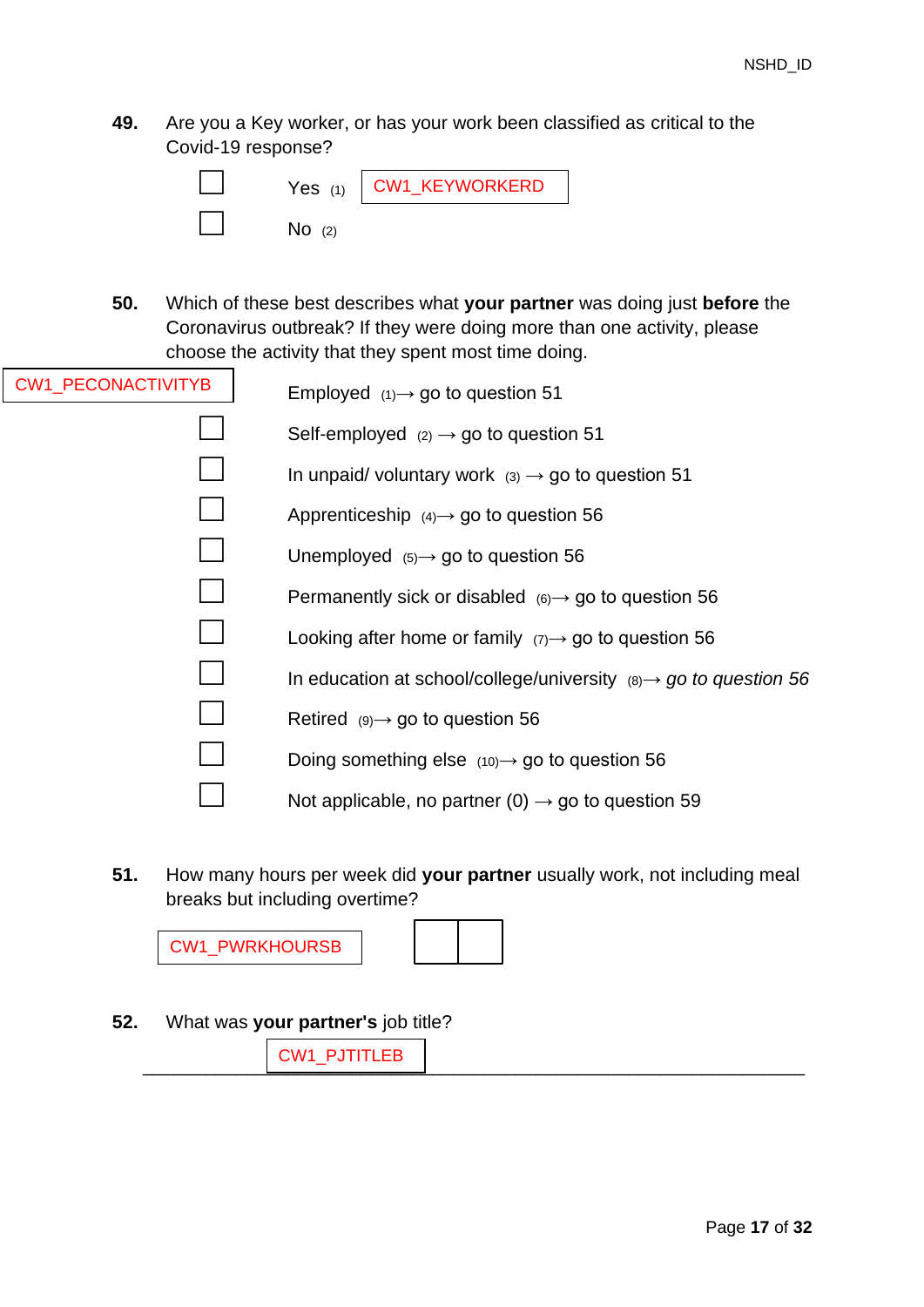**49.** Are you a Key worker, or has your work been classified as critical to the Covid-19 response?

| Yes $(1)$ | CW1_KEYWORKERD |
|-----------|----------------|
| $No$ (2)  |                |

<span id="page-16-0"></span>**50.** Which of these best describes what **your partner** was doing just **before** the Coronavirus outbreak? If they were doing more than one activity, please choose the activity that they spent most time doing.

| <b>CW1_PECONACTIVITYB</b> | Employed $(1) \rightarrow$ go to question 51                                  |
|---------------------------|-------------------------------------------------------------------------------|
|                           | Self-employed $(2) \rightarrow$ go to question 51                             |
|                           | In unpaid/ voluntary work $(3) \rightarrow$ go to question 51                 |
|                           | Apprenticeship $(4) \rightarrow$ go to question 56                            |
|                           | Unemployed $(5) \rightarrow$ go to question 56                                |
|                           | Permanently sick or disabled $(6) \rightarrow 90$ to question 56              |
|                           | Looking after home or family $(7) \rightarrow 90$ to question 56              |
|                           | In education at school/college/university $(8) \rightarrow$ go to question 56 |
|                           | Retired $(9) \rightarrow$ go to question 56                                   |
|                           | Doing something else $(10) \rightarrow$ go to question 56                     |
|                           | Not applicable, no partner (0) $\rightarrow$ go to question 59                |

<span id="page-16-1"></span>**51.** How many hours per week did **your partner** usually work, not including meal breaks but including overtime?

CW1\_PWRKHOURSB

**52.** What was **your partner's** job title?

|--|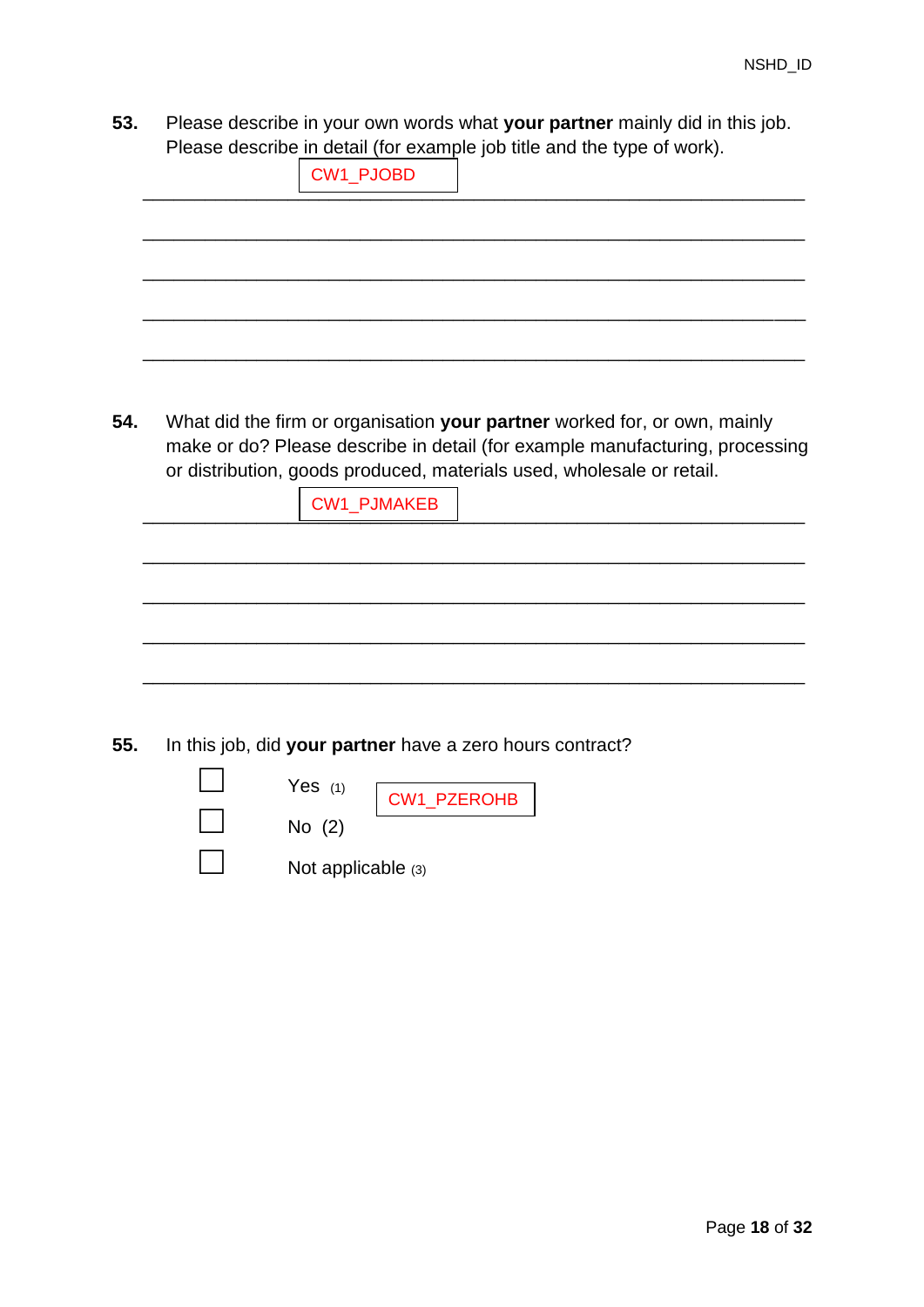**53.** Please describe in your own words what **your partner** mainly did in this job. Please describe in detail (for example job title and the type of work).

|     | ado doomoo in dolali jibi oxampio joo ililo aha ino typo of work).                                                                                    |
|-----|-------------------------------------------------------------------------------------------------------------------------------------------------------|
|     | CW1_PJOBD                                                                                                                                             |
|     |                                                                                                                                                       |
|     |                                                                                                                                                       |
|     |                                                                                                                                                       |
|     |                                                                                                                                                       |
|     |                                                                                                                                                       |
|     |                                                                                                                                                       |
|     |                                                                                                                                                       |
| 54. | What did the firm or organisation your partner worked for, or own, mainly                                                                             |
|     | make or do? Please describe in detail (for example manufacturing, processing<br>or distribution, goods produced, materials used, wholesale or retail. |
|     |                                                                                                                                                       |
|     | <b>CW1_PJMAKEB</b>                                                                                                                                    |
|     |                                                                                                                                                       |
|     |                                                                                                                                                       |
|     |                                                                                                                                                       |
|     |                                                                                                                                                       |
|     |                                                                                                                                                       |
|     |                                                                                                                                                       |
|     |                                                                                                                                                       |
| 55. | In this job, did your partner have a zero hours contract?                                                                                             |
|     | Yes $(1)$                                                                                                                                             |
|     | CW1_PZEROHB                                                                                                                                           |
|     | No $(2)$                                                                                                                                              |
|     | Not applicable (3)                                                                                                                                    |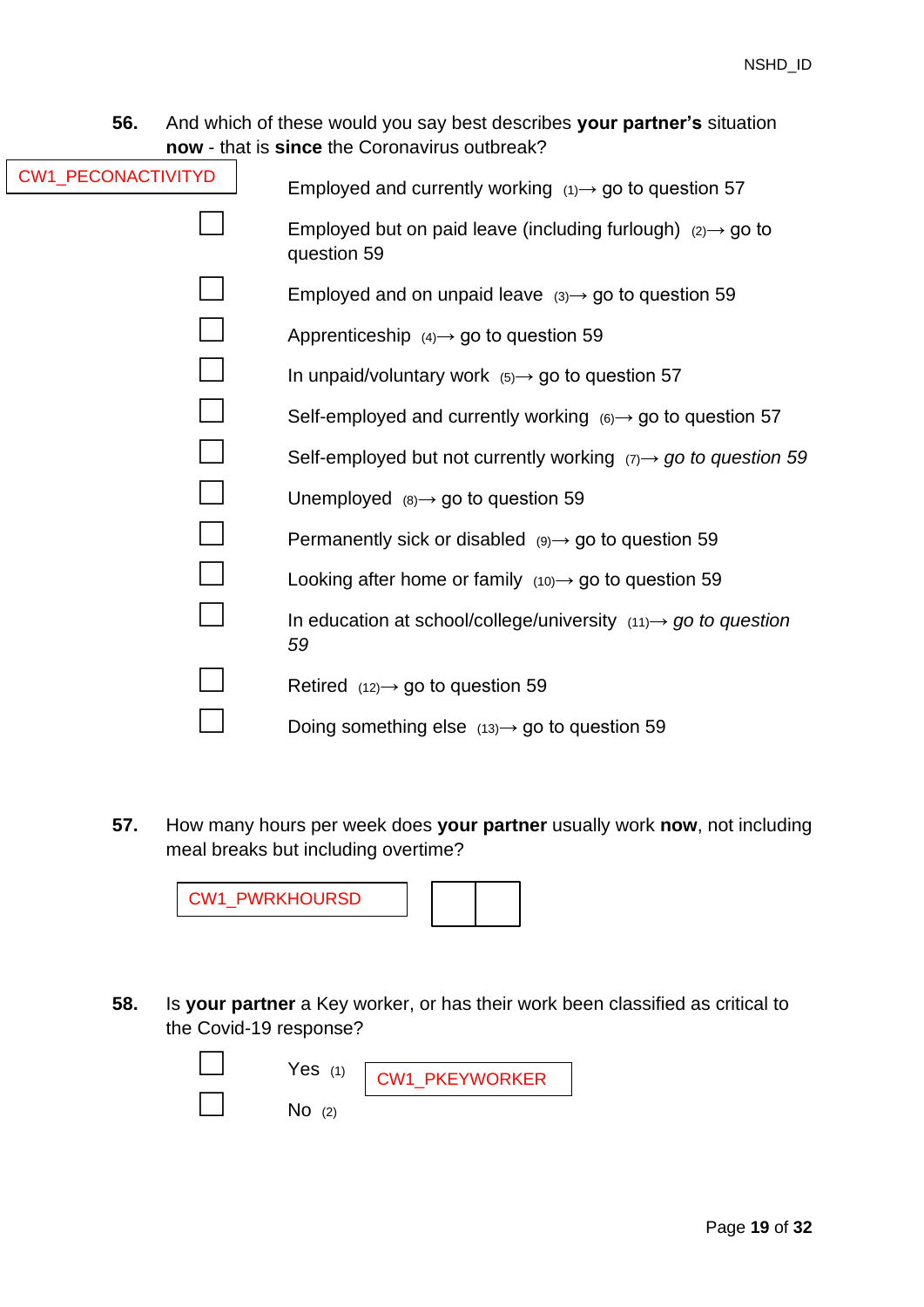<span id="page-18-0"></span>**56.** And which of these would you say best describes **your partner's** situation **now** - that is **since** the Coronavirus outbreak?

| CW1_PECONACTIVITYD | Employed and currently working $(1) \rightarrow 0$ to question 57                      |
|--------------------|----------------------------------------------------------------------------------------|
|                    | Employed but on paid leave (including furlough) $(2) \rightarrow$ go to<br>question 59 |
|                    | Employed and on unpaid leave $(3) \rightarrow 90$ to question 59                       |
|                    | Apprenticeship $(4) \rightarrow$ go to question 59                                     |
|                    | In unpaid/voluntary work $(5) \rightarrow 0$ to question 57                            |
|                    | Self-employed and currently working $(6) \rightarrow 90$ to question 57                |
|                    | Self-employed but not currently working $(7) \rightarrow 90$ to question 59            |
|                    | Unemployed $(8) \rightarrow$ go to question 59                                         |
|                    | Permanently sick or disabled $(9) \rightarrow 90$ to question 59                       |
|                    | Looking after home or family $(10) \rightarrow$ go to question 59                      |
|                    | In education at school/college/university $(11) \rightarrow$ go to question<br>59      |
|                    | Retired $(12) \rightarrow$ go to question 59                                           |
|                    | Doing something else $(13) \rightarrow$ go to question 59                              |

<span id="page-18-1"></span>**57.** How many hours per week does **your partner** usually work **now**, not including meal breaks but including overtime?



**58.** Is **your partner** a Key worker, or has their work been classified as critical to the Covid-19 response?

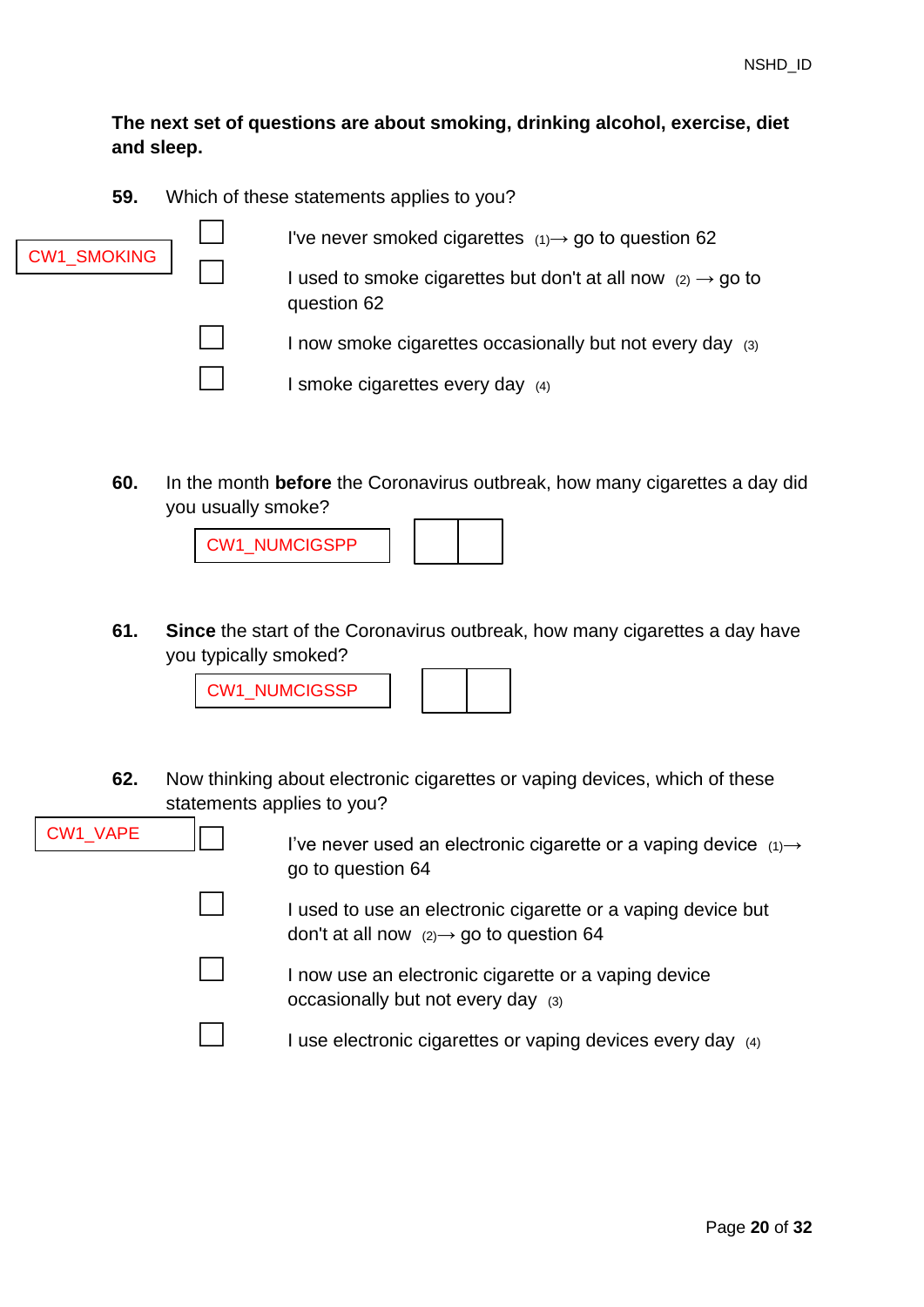### **The next set of questions are about smoking, drinking alcohol, exercise, diet and sleep.**

<span id="page-19-0"></span>**59.** Which of these statements applies to you?

| <b>CW1_SMOKING</b> |  | I've never smoked cigarettes $(1) \rightarrow$ go to question 62                       |
|--------------------|--|----------------------------------------------------------------------------------------|
|                    |  | I used to smoke cigarettes but don't at all now $(2) \rightarrow$ go to<br>question 62 |
|                    |  | I now smoke cigarettes occasionally but not every day (3)                              |
|                    |  | I smoke cigarettes every day (4)                                                       |

**60.** In the month **before** the Coronavirus outbreak, how many cigarettes a day did you usually smoke?

CW1\_NUMCIGSPP

**61. Since** the start of the Coronavirus outbreak, how many cigarettes a day have you typically smoked?



<span id="page-19-1"></span>**62.** Now thinking about electronic cigarettes or vaping devices, which of these statements applies to you?

| CW1_VAPE | I've never used an electronic cigarette or a vaping device $(1) \rightarrow$<br>go to question 64                    |
|----------|----------------------------------------------------------------------------------------------------------------------|
|          | I used to use an electronic cigarette or a vaping device but<br>don't at all now $(2) \rightarrow$ go to question 64 |
|          | I now use an electronic cigarette or a vaping device<br>occasionally but not every day (3)                           |
|          | I use electronic cigarettes or vaping devices every day (4)                                                          |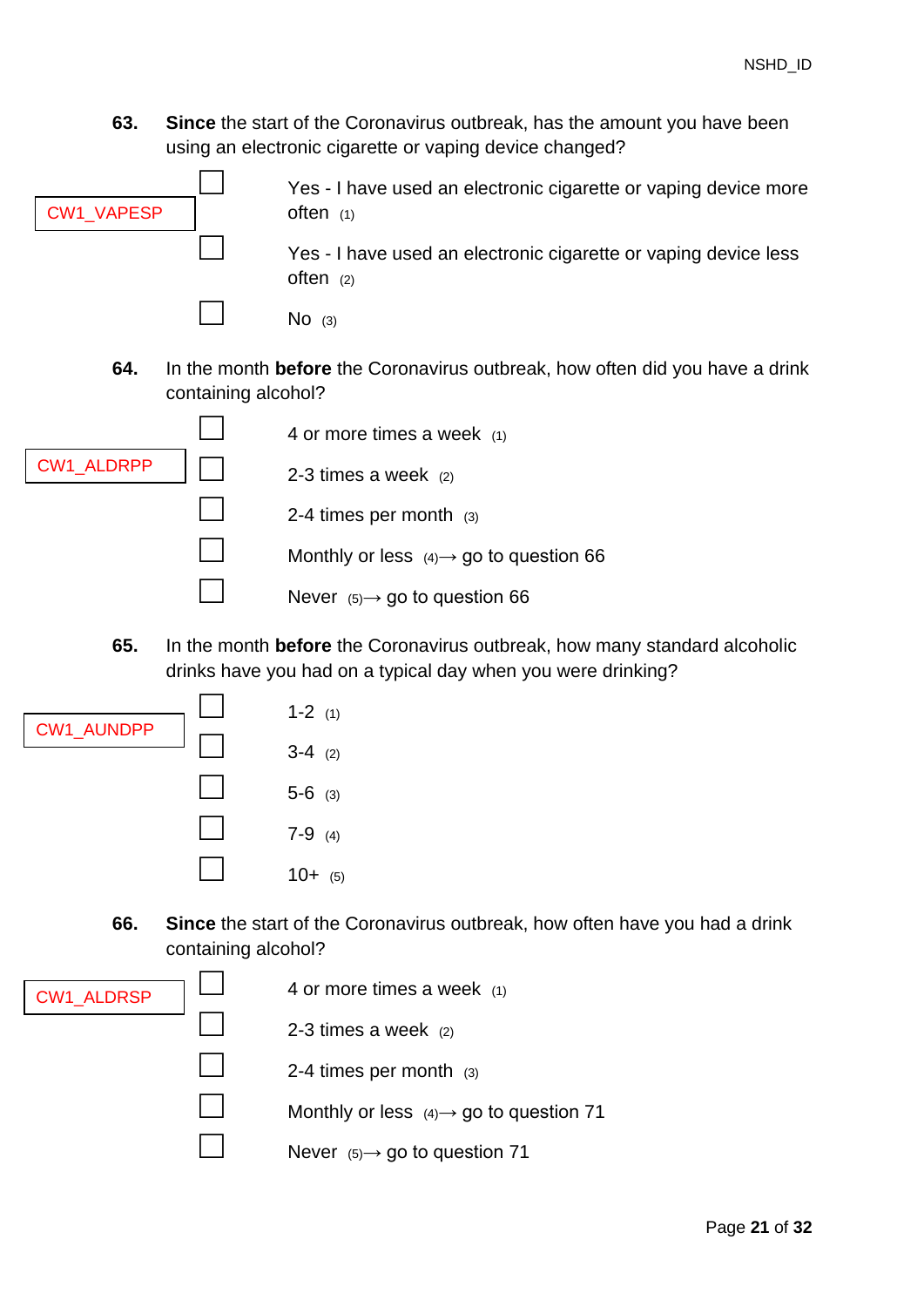**63. Since** the start of the Coronavirus outbreak, has the amount you have been using an electronic cigarette or vaping device changed?

<span id="page-20-0"></span>

**65.** In the month **before** the Coronavirus outbreak, how many standard alcoholic drinks have you had on a typical day when you were drinking?



<span id="page-20-1"></span>**66. Since** the start of the Coronavirus outbreak, how often have you had a drink containing alcohol?

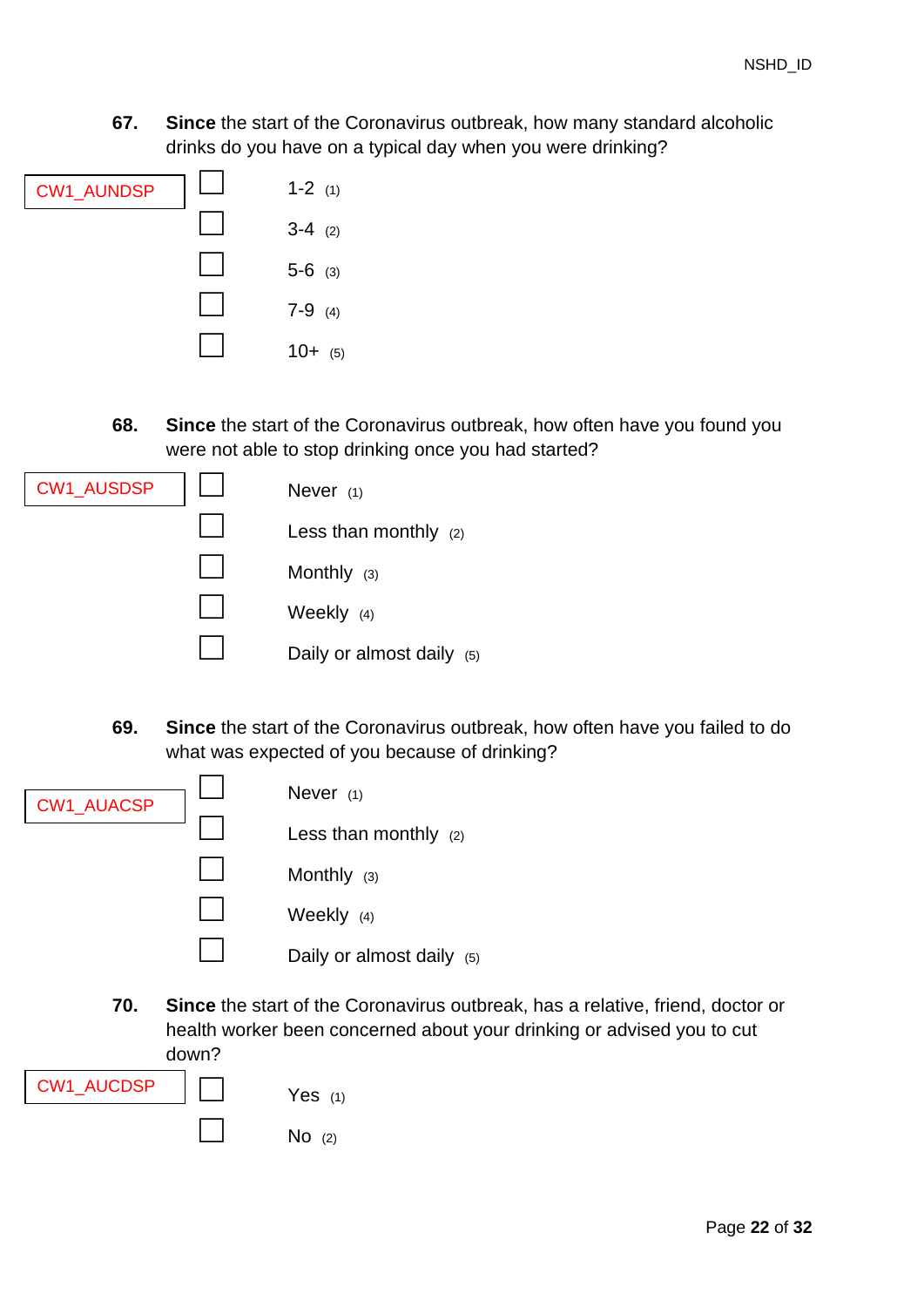**67. Since** the start of the Coronavirus outbreak, how many standard alcoholic drinks do you have on a typical day when you were drinking?



**68. Since** the start of the Coronavirus outbreak, how often have you found you were not able to stop drinking once you had started?

| CW1_AUSDSP | Never $(1)$               |  |
|------------|---------------------------|--|
|            | Less than monthly $(2)$   |  |
|            | Monthly $(3)$             |  |
|            | Weekly $(4)$              |  |
|            | Daily or almost daily (5) |  |

**69. Since** the start of the Coronavirus outbreak, how often have you failed to do what was expected of you because of drinking?



**70. Since** the start of the Coronavirus outbreak, has a relative, friend, doctor or health worker been concerned about your drinking or advised you to cut down?

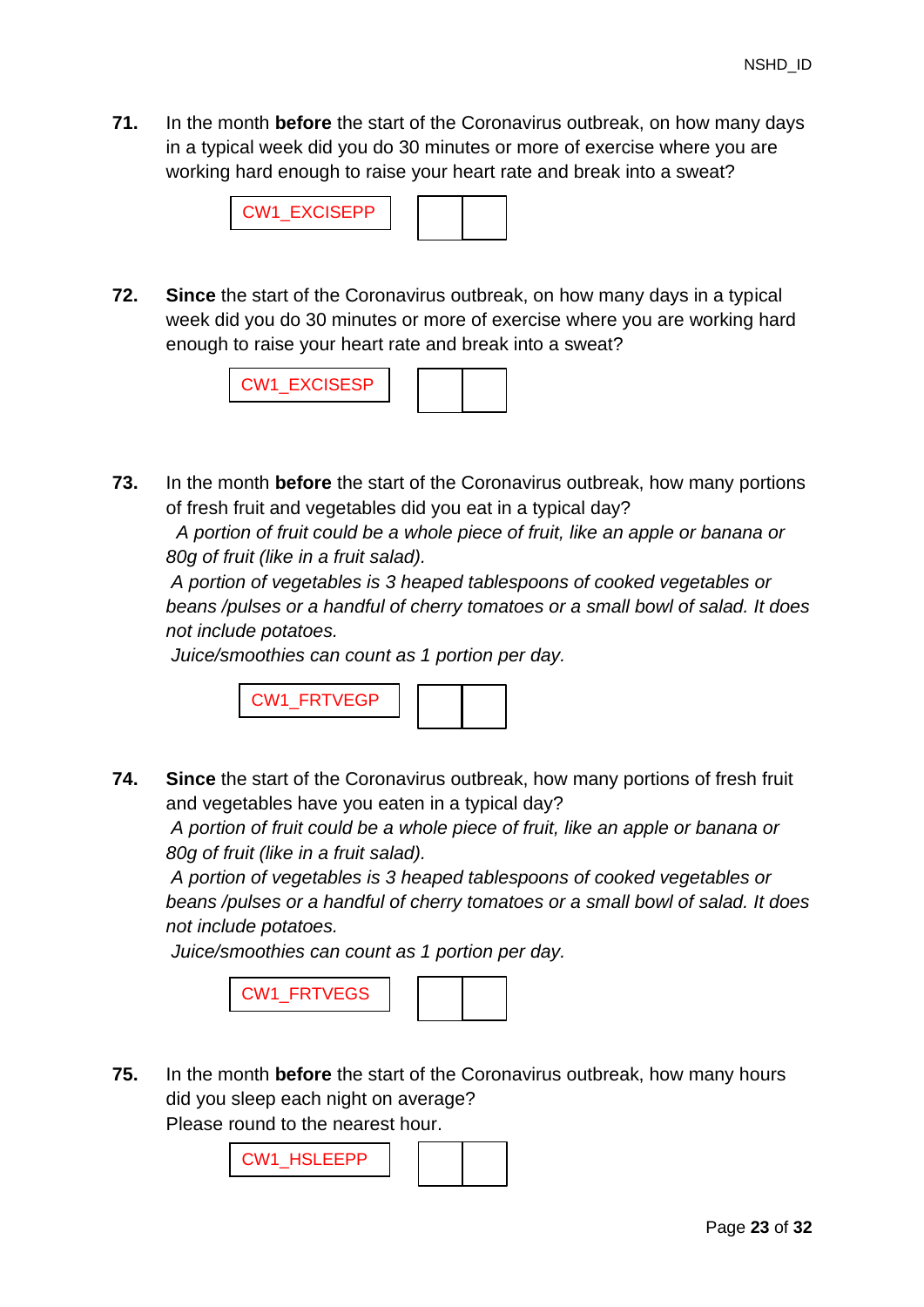<span id="page-22-0"></span>**71.** In the month **before** the start of the Coronavirus outbreak, on how many days in a typical week did you do 30 minutes or more of exercise where you are working hard enough to raise your heart rate and break into a sweat?



**72. Since** the start of the Coronavirus outbreak, on how many days in a typical week did you do 30 minutes or more of exercise where you are working hard enough to raise your heart rate and break into a sweat?



**73.** In the month **before** the start of the Coronavirus outbreak, how many portions of fresh fruit and vegetables did you eat in a typical day? *A portion of fruit could be a whole piece of fruit, like an apple or banana or* 

*80g of fruit (like in a fruit salad).*

*A portion of vegetables is 3 heaped tablespoons of cooked vegetables or beans /pulses or a handful of cherry tomatoes or a small bowl of salad. It does not include potatoes.*

*Juice/smoothies can count as 1 portion per day.*



**74. Since** the start of the Coronavirus outbreak, how many portions of fresh fruit and vegetables have you eaten in a typical day?

*A portion of fruit could be a whole piece of fruit, like an apple or banana or 80g of fruit (like in a fruit salad).*

*A portion of vegetables is 3 heaped tablespoons of cooked vegetables or beans /pulses or a handful of cherry tomatoes or a small bowl of salad. It does not include potatoes.*

*Juice/smoothies can count as 1 portion per day.*

CW1\_FRTVEGS



**75.** In the month **before** the start of the Coronavirus outbreak, how many hours did you sleep each night on average?

Please round to the nearest hour.

P

P

CW1\_HSLEEPP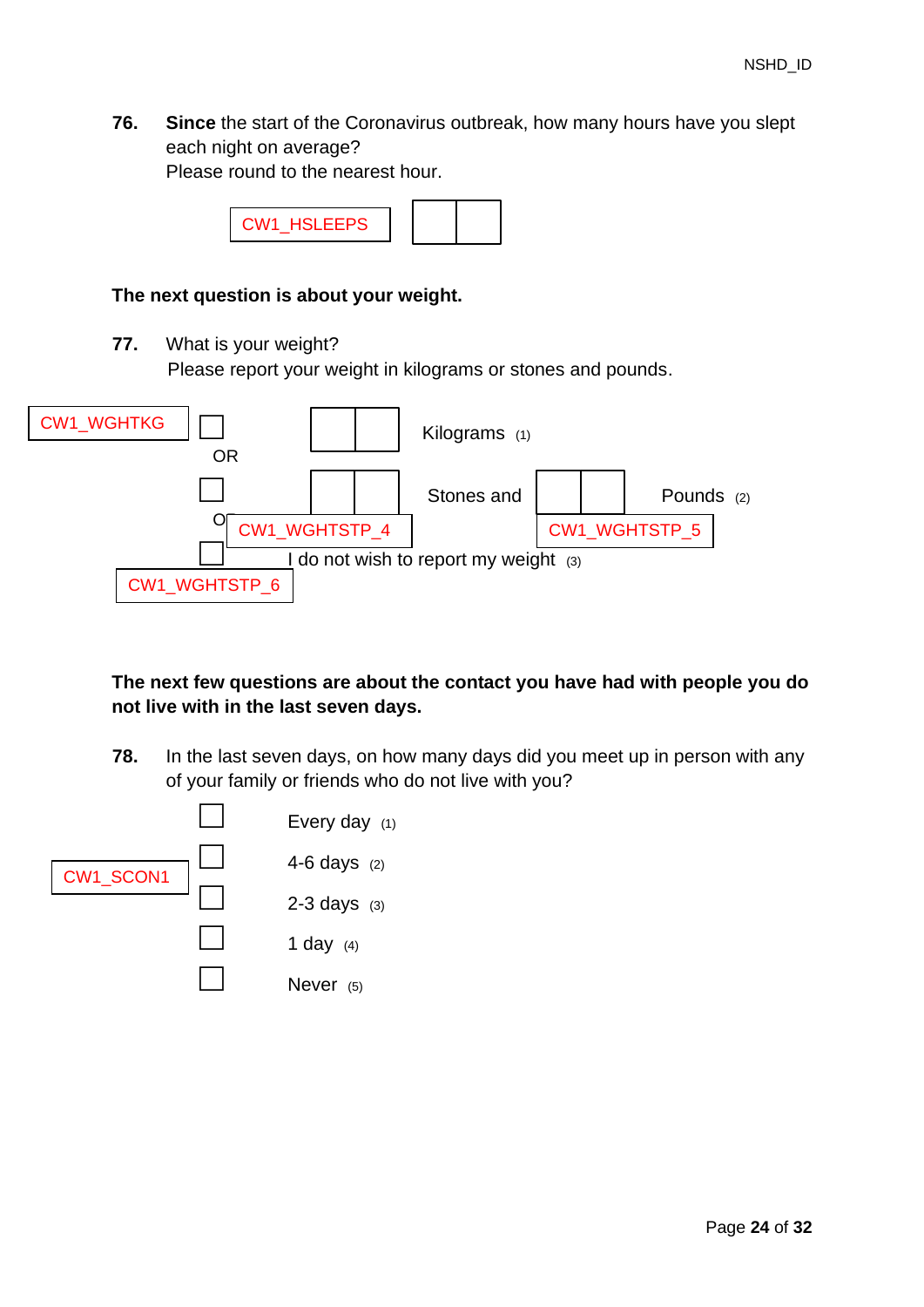**76. Since** the start of the Coronavirus outbreak, how many hours have you slept each night on average? Please round to the nearest hour.



### **The next question is about your weight.**

**77.** What is your weight? Please report your weight in kilograms or stones and pounds.



**The next few questions are about the contact you have had with people you do not live with in the last seven days.**

**78.** In the last seven days, on how many days did you meet up in person with any of your family or friends who do not live with you?

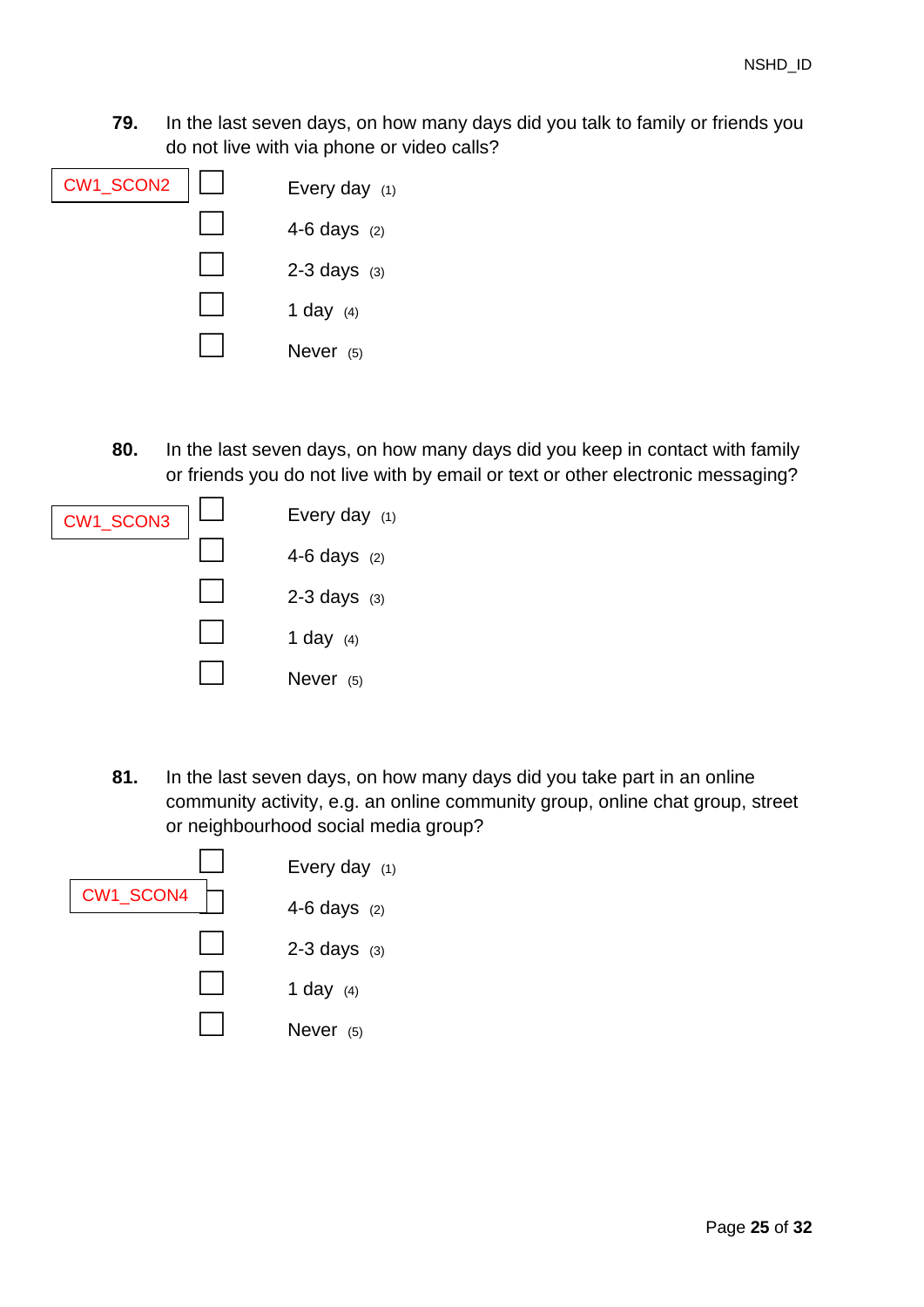**79.** In the last seven days, on how many days did you talk to family or friends you do not live with via phone or video calls?



**80.** In the last seven days, on how many days did you keep in contact with family or friends you do not live with by email or text or other electronic messaging?



**81.** In the last seven days, on how many days did you take part in an online community activity, e.g. an online community group, online chat group, street or neighbourhood social media group?

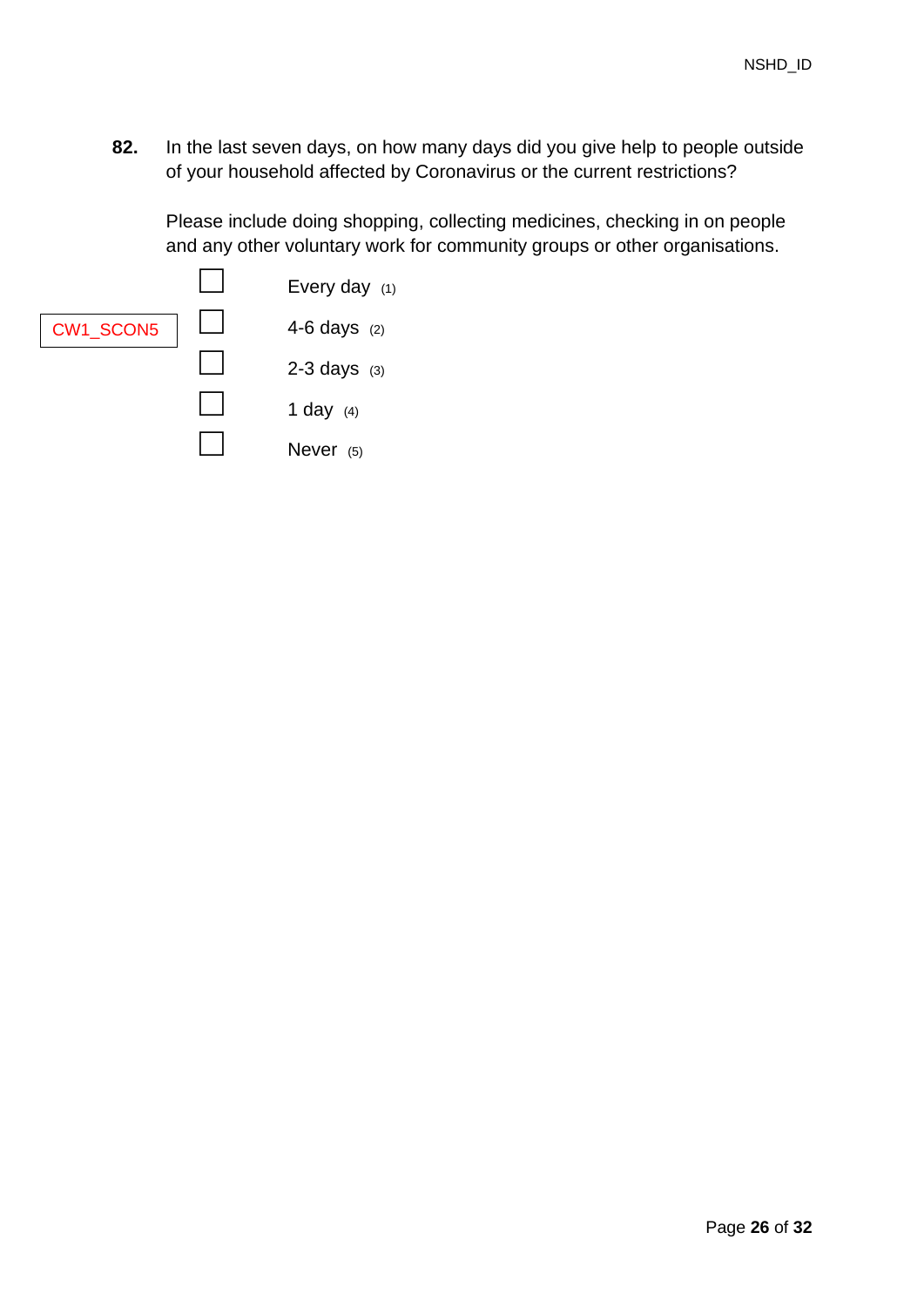**82.** In the last seven days, on how many days did you give help to people outside of your household affected by Coronavirus or the current restrictions?

Please include doing shopping, collecting medicines, checking in on people and any other voluntary work for community groups or other organisations.

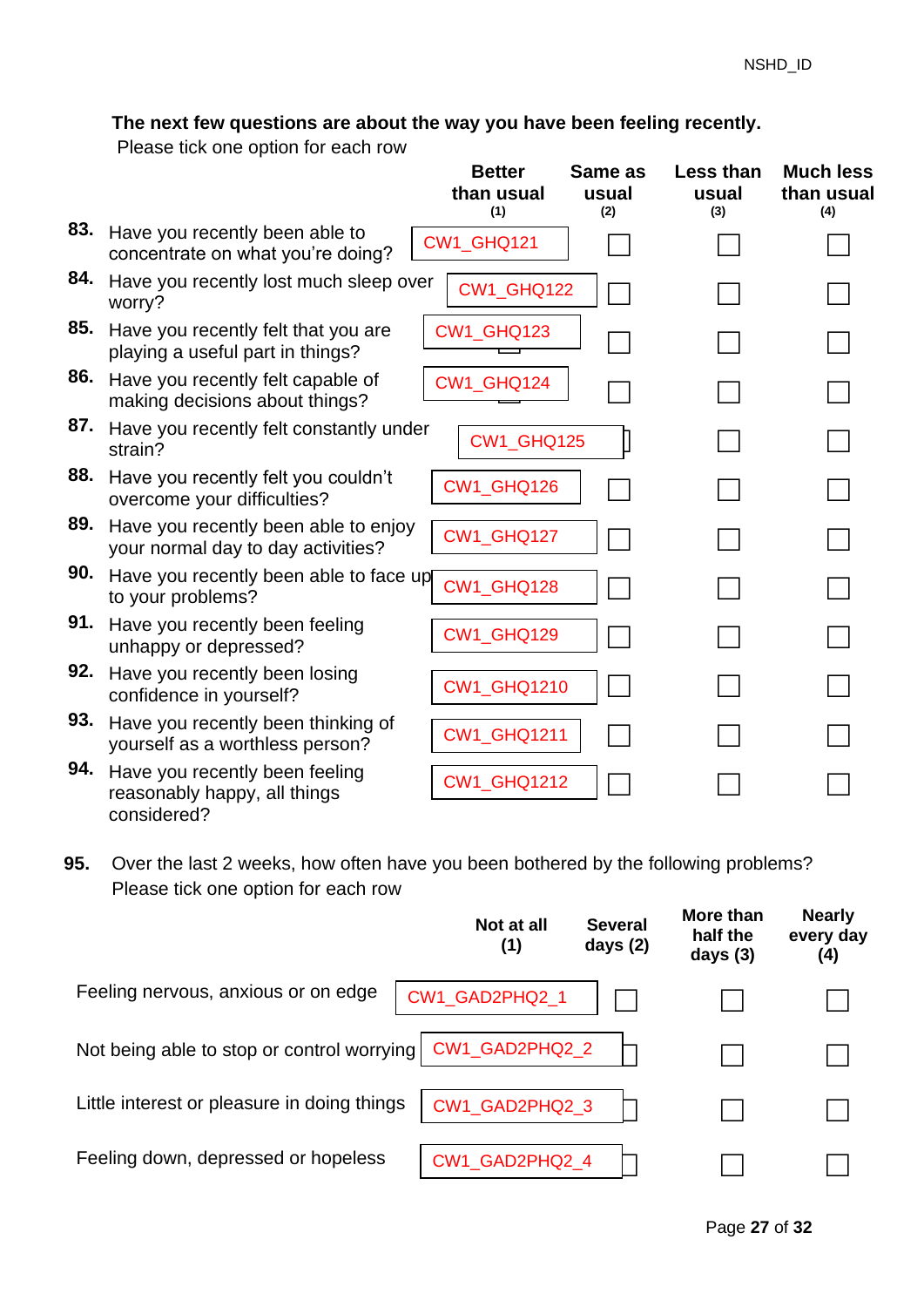# **The next few questions are about the way you have been feeling recently.**

Please tick one option for each row

considered?

|     |                                                                            | <b>Better</b><br>than usual<br>(1) | Same as<br>usual<br>(2) | Less than<br>usual<br>(3) | <b>Much less</b><br>than usual<br>(4) |
|-----|----------------------------------------------------------------------------|------------------------------------|-------------------------|---------------------------|---------------------------------------|
|     | 83. Have you recently been able to<br>concentrate on what you're doing?    | CW1_GHQ121                         |                         |                           |                                       |
| 84. | Have you recently lost much sleep over<br>worry?                           | CW1_GHQ122                         |                         |                           |                                       |
| 85. | Have you recently felt that you are<br>playing a useful part in things?    | CW1_GHQ123                         |                         |                           |                                       |
| 86. | Have you recently felt capable of<br>making decisions about things?        | CW1_GHQ124                         |                         |                           |                                       |
| 87. | Have you recently felt constantly under<br>strain?                         | CW1_GHQ125                         |                         |                           |                                       |
| 88. | Have you recently felt you couldn't<br>overcome your difficulties?         | CW1_GHQ126                         |                         |                           |                                       |
| 89. | Have you recently been able to enjoy<br>your normal day to day activities? | CW1_GHQ127                         |                         |                           |                                       |
| 90. | Have you recently been able to face up<br>to your problems?                | CW1_GHQ128                         |                         |                           |                                       |
| 91. | Have you recently been feeling<br>unhappy or depressed?                    | CW1_GHQ129                         |                         |                           |                                       |
|     | 92. Have you recently been losing<br>confidence in yourself?               | <b>CW1_GHQ1210</b>                 |                         |                           |                                       |
| 93. | Have you recently been thinking of<br>yourself as a worthless person?      | <b>CW1_GHQ1211</b>                 |                         |                           |                                       |
| 94. | Have you recently been feeling<br>reasonably happy, all things             | <b>CW1_GHQ1212</b>                 |                         |                           |                                       |

**95.** Over the last 2 weeks, how often have you been bothered by the following problems? Please tick one option for each row

|                                             | Not at all<br>(1) | <b>Several</b><br>days $(2)$ | More than<br>half the<br>days $(3)$ | <b>Nearly</b><br>every day<br>(4) |
|---------------------------------------------|-------------------|------------------------------|-------------------------------------|-----------------------------------|
| Feeling nervous, anxious or on edge         | CW1_GAD2PHQ2_1    |                              |                                     |                                   |
| Not being able to stop or control worrying  | CW1_GAD2PHQ2_2    |                              |                                     |                                   |
| Little interest or pleasure in doing things | CW1_GAD2PHQ2_3    |                              |                                     |                                   |
| Feeling down, depressed or hopeless         | CW1_GAD2PHQ2_4    |                              |                                     |                                   |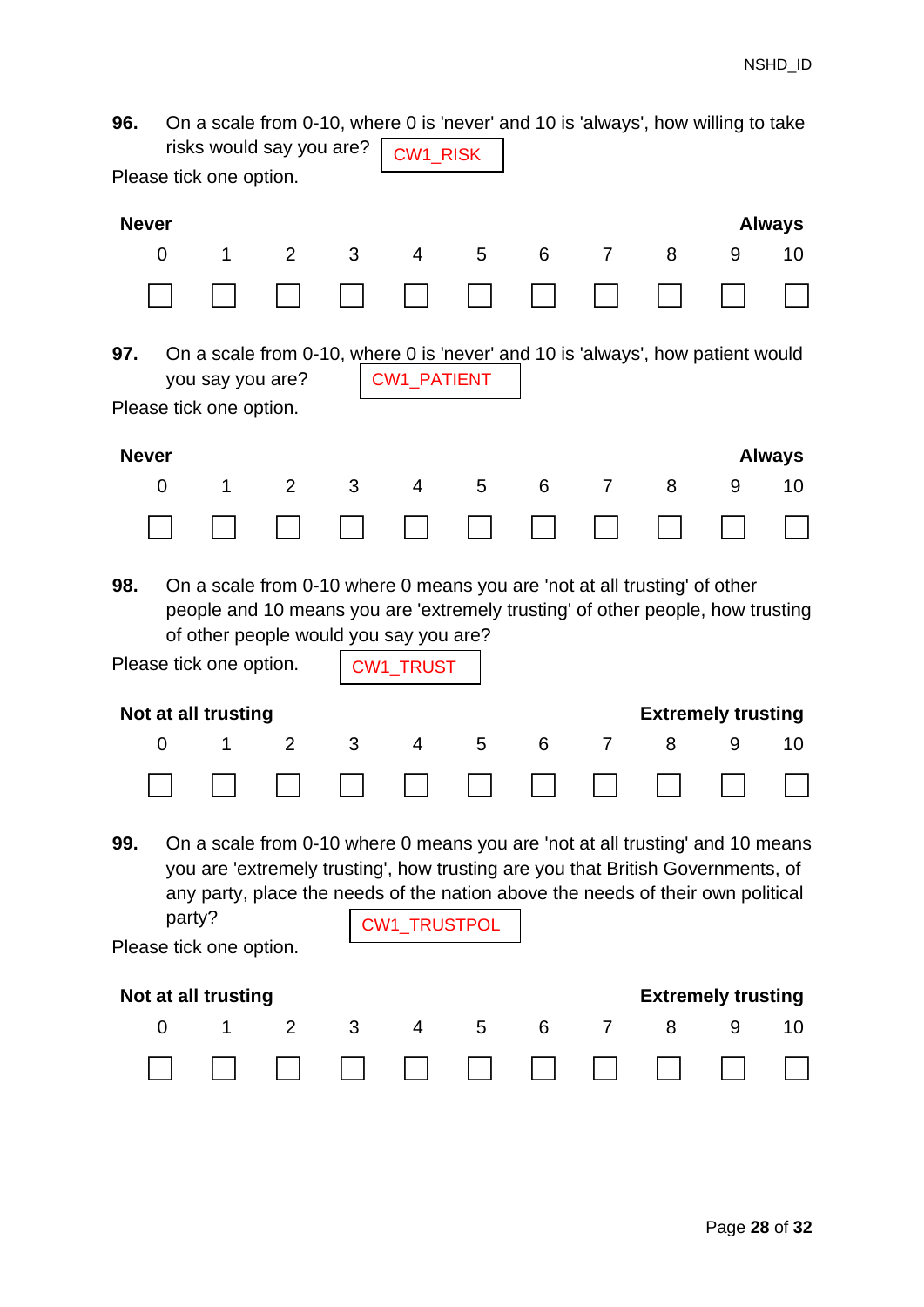**96.** On a scale from 0-10, where 0 is 'never' and 10 is 'always', how willing to take risks would say you are? Please tick one option. **Never Always**  0 1 2 3 4 5 6 7 8 9 10 □ □ □ □ □ □ □ □ □ □ □ **97.** On a scale from 0-10, where 0 is 'never' and 10 is 'always', how patient would you say you are? Please tick one option. **Never Always**  0 1 2 3 4 5 6 7 8 9 10 □ □ □ □ □ □ □ □ □ □ □ **98.** On a scale from 0-10 where 0 means you are 'not at all trusting' of other people and 10 means you are 'extremely trusting' of other people, how trusting of other people would you say you are? Please tick one option. **Not at all trusting Extremely trusting** 0 1 2 3 4 5 6 7 8 9 10 □ □ □ □ □ □ □ □ □ □ □ **99.** On a scale from 0-10 where 0 means you are 'not at all trusting' and 10 means you are 'extremely trusting', how trusting are you that British Governments, of any party, place the needs of the nation above the needs of their own political party? Please tick one option. **Not at all trusting Extremely trusting** 0 1 2 3 4 5 6 7 8 9 10 □ □ □ □ □ □ □ □ □ □ □ CW1\_RISK CW1\_PATIENT CW1\_TRUST CW1\_TRUSTPOL P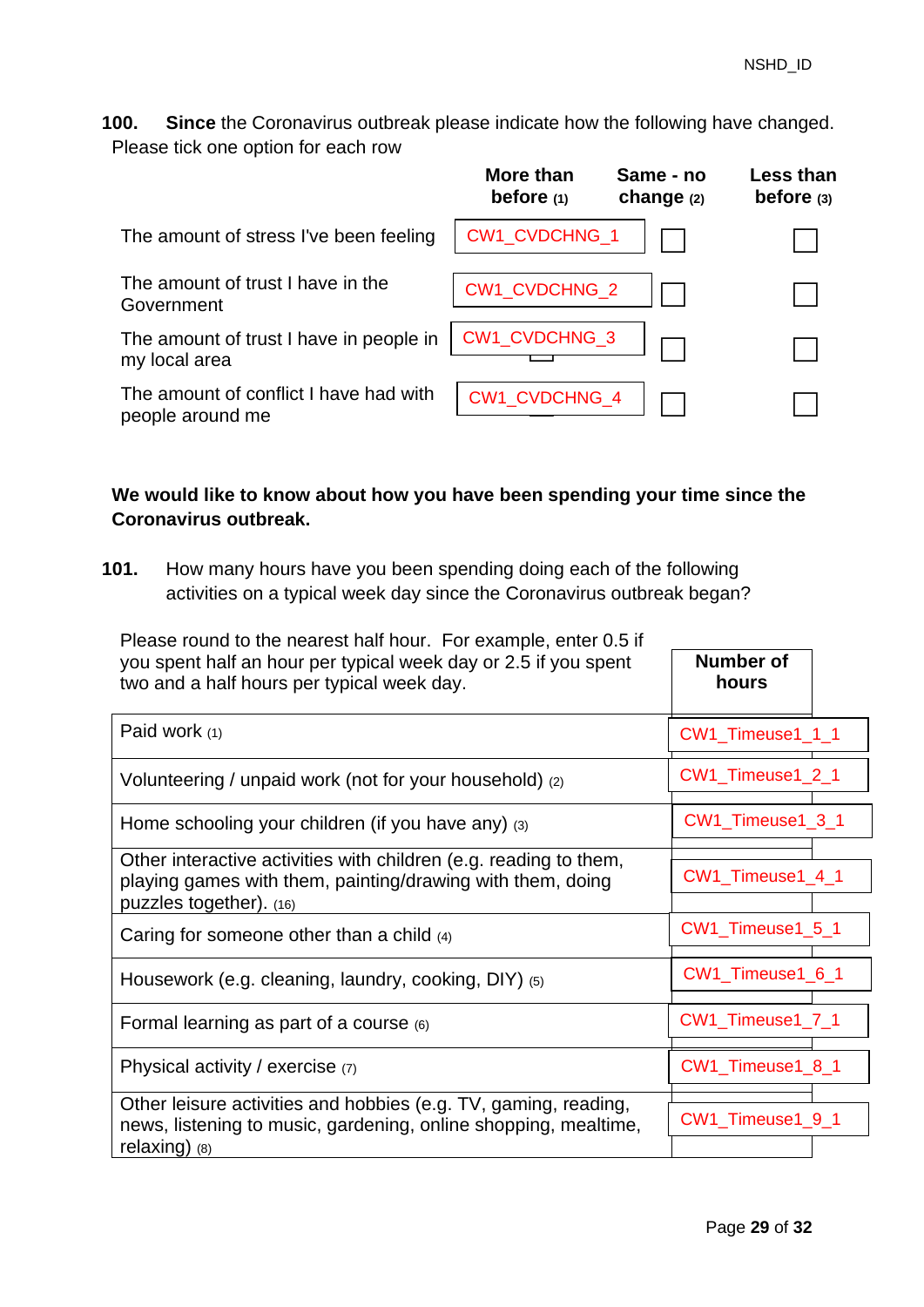**100. Since** the Coronavirus outbreak please indicate how the following have changed. Please tick one option for each row

|                                                            | More than<br>before $(1)$ | Same - no<br>change $(2)$ | Less than<br>before $(3)$ |
|------------------------------------------------------------|---------------------------|---------------------------|---------------------------|
| The amount of stress I've been feeling                     | <b>CW1 CVDCHNG 1</b>      |                           |                           |
| The amount of trust I have in the<br>Government            | CW1_CVDCHNG_2             |                           |                           |
| The amount of trust I have in people in<br>my local area   | CW1_CVDCHNG_3             |                           |                           |
| The amount of conflict I have had with<br>people around me | CW1_CVDCHNG_4             |                           |                           |

## **We would like to know about how you have been spending your time since the Coronavirus outbreak.**

**101.** How many hours have you been spending doing each of the following activities on a typical week day since the Coronavirus outbreak began?

| Please round to the nearest half hour. For example, enter 0.5 if<br>you spent half an hour per typical week day or 2.5 if you spent<br>two and a half hours per typical week day. | Number of<br>hours |
|-----------------------------------------------------------------------------------------------------------------------------------------------------------------------------------|--------------------|
| Paid work (1)                                                                                                                                                                     | CW1_Timeuse1_1_1   |
| Volunteering / unpaid work (not for your household) (2)                                                                                                                           | CW1_Timeuse1_2_1   |
| Home schooling your children (if you have any) $(3)$                                                                                                                              | CW1_Timeuse1_3_1   |
| Other interactive activities with children (e.g. reading to them,<br>playing games with them, painting/drawing with them, doing<br>puzzles together). (16)                        | CW1_Timeuse1_4_1   |
| Caring for someone other than a child $(4)$                                                                                                                                       | CW1_Timeuse1_5_1   |
| Housework (e.g. cleaning, laundry, cooking, DIY) (5)                                                                                                                              | CW1_Timeuse1_6_1   |
| Formal learning as part of a course $(6)$                                                                                                                                         | CW1_Timeuse1_7_1   |
| Physical activity / exercise (7)                                                                                                                                                  | CW1_Timeuse1_8_1   |
| Other leisure activities and hobbies (e.g. TV, gaming, reading,<br>news, listening to music, gardening, online shopping, mealtime,<br>relaxing $)$ (8)                            | CW1_Timeuse1_9_1   |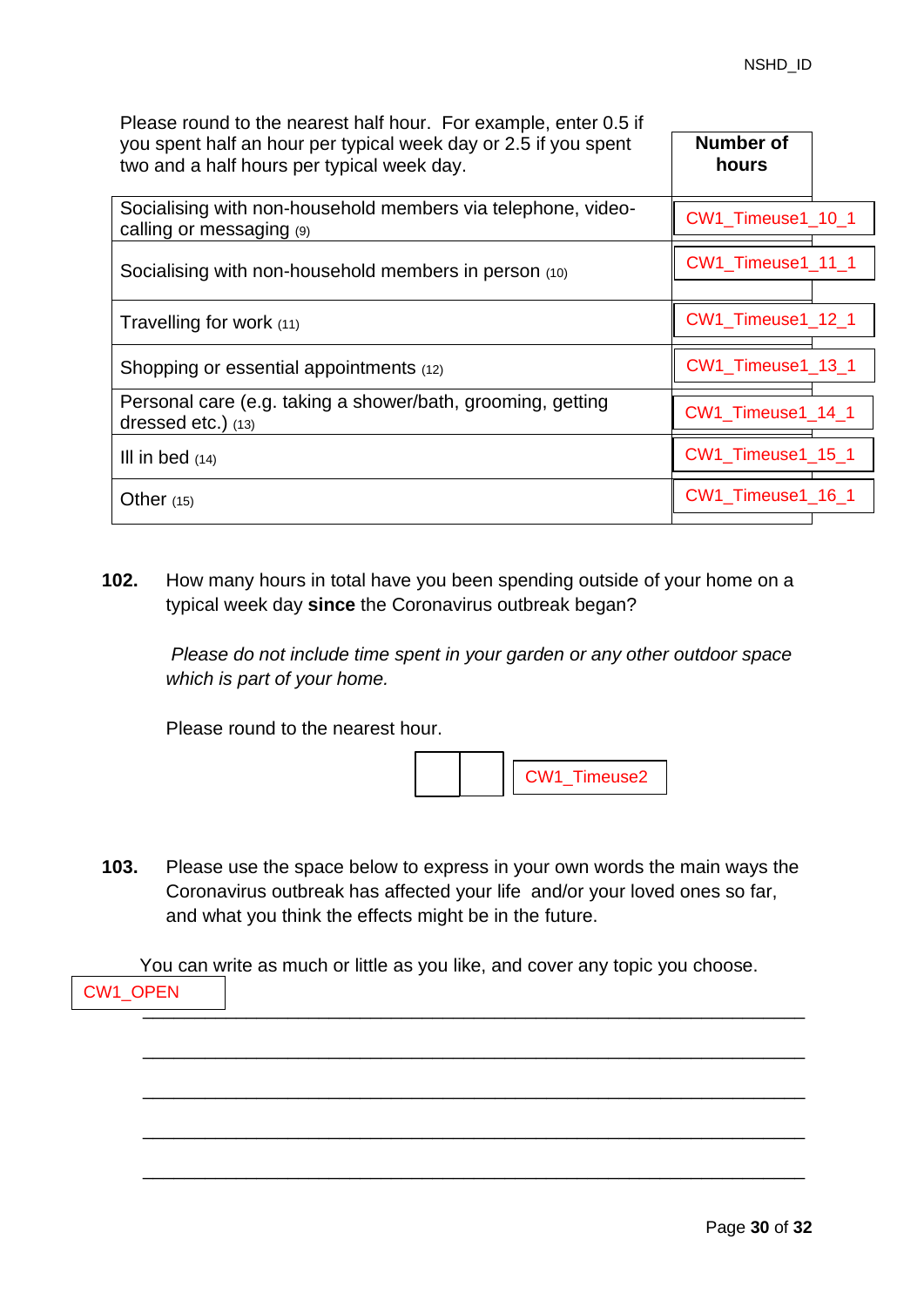| Please round to the nearest half hour. For example, enter 0.5 if<br>you spent half an hour per typical week day or 2.5 if you spent<br>two and a half hours per typical week day. | Number of<br>hours |  |
|-----------------------------------------------------------------------------------------------------------------------------------------------------------------------------------|--------------------|--|
| Socialising with non-household members via telephone, video-<br>calling or messaging (9)                                                                                          | CW1_Timeuse1_10_1  |  |
| Socialising with non-household members in person (10)                                                                                                                             | CW1_Timeuse1_11_1  |  |
| Travelling for work $(11)$                                                                                                                                                        | CW1_Timeuse1_12_1  |  |
| Shopping or essential appointments (12)                                                                                                                                           | CW1_Timeuse1_13_1  |  |
| Personal care (e.g. taking a shower/bath, grooming, getting<br>dressed etc.) (13)                                                                                                 | CW1_Timeuse1_14_1  |  |
| III in bed $(14)$                                                                                                                                                                 | CW1_Timeuse1_15_1  |  |
| Other $(15)$                                                                                                                                                                      | CW1_Timeuse1_16_1  |  |

**102.** How many hours in total have you been spending outside of your home on a typical week day **since** the Coronavirus outbreak began?

*Please do not include time spent in your garden or any other outdoor space which is part of your home.*

Please round to the nearest hour.



**103.** Please use the space below to express in your own words the main ways the Coronavirus outbreak has affected your life and/or your loved ones so far, and what you think the effects might be in the future.

\_\_\_\_\_\_\_\_\_\_\_\_\_\_\_\_\_\_\_\_\_\_\_\_\_\_\_\_\_\_\_\_\_\_\_\_\_\_\_\_\_\_\_\_\_\_\_\_\_\_\_\_\_\_\_\_\_\_\_\_\_\_\_\_

\_\_\_\_\_\_\_\_\_\_\_\_\_\_\_\_\_\_\_\_\_\_\_\_\_\_\_\_\_\_\_\_\_\_\_\_\_\_\_\_\_\_\_\_\_\_\_\_\_\_\_\_\_\_\_\_\_\_\_\_\_\_\_\_

\_\_\_\_\_\_\_\_\_\_\_\_\_\_\_\_\_\_\_\_\_\_\_\_\_\_\_\_\_\_\_\_\_\_\_\_\_\_\_\_\_\_\_\_\_\_\_\_\_\_\_\_\_\_\_\_\_\_\_\_\_\_\_\_

\_\_\_\_\_\_\_\_\_\_\_\_\_\_\_\_\_\_\_\_\_\_\_\_\_\_\_\_\_\_\_\_\_\_\_\_\_\_\_\_\_\_\_\_\_\_\_\_\_\_\_\_\_\_\_\_\_\_\_\_\_\_\_\_

You can write as much or little as you like, and cover any topic you choose.

\_\_\_\_\_\_\_\_\_\_\_\_\_\_\_\_\_\_\_\_\_\_\_\_\_\_\_\_\_\_\_\_\_\_\_\_\_\_\_\_\_\_\_\_\_\_\_\_\_\_\_\_\_\_\_\_\_\_\_\_\_\_\_\_ CW1\_OPEN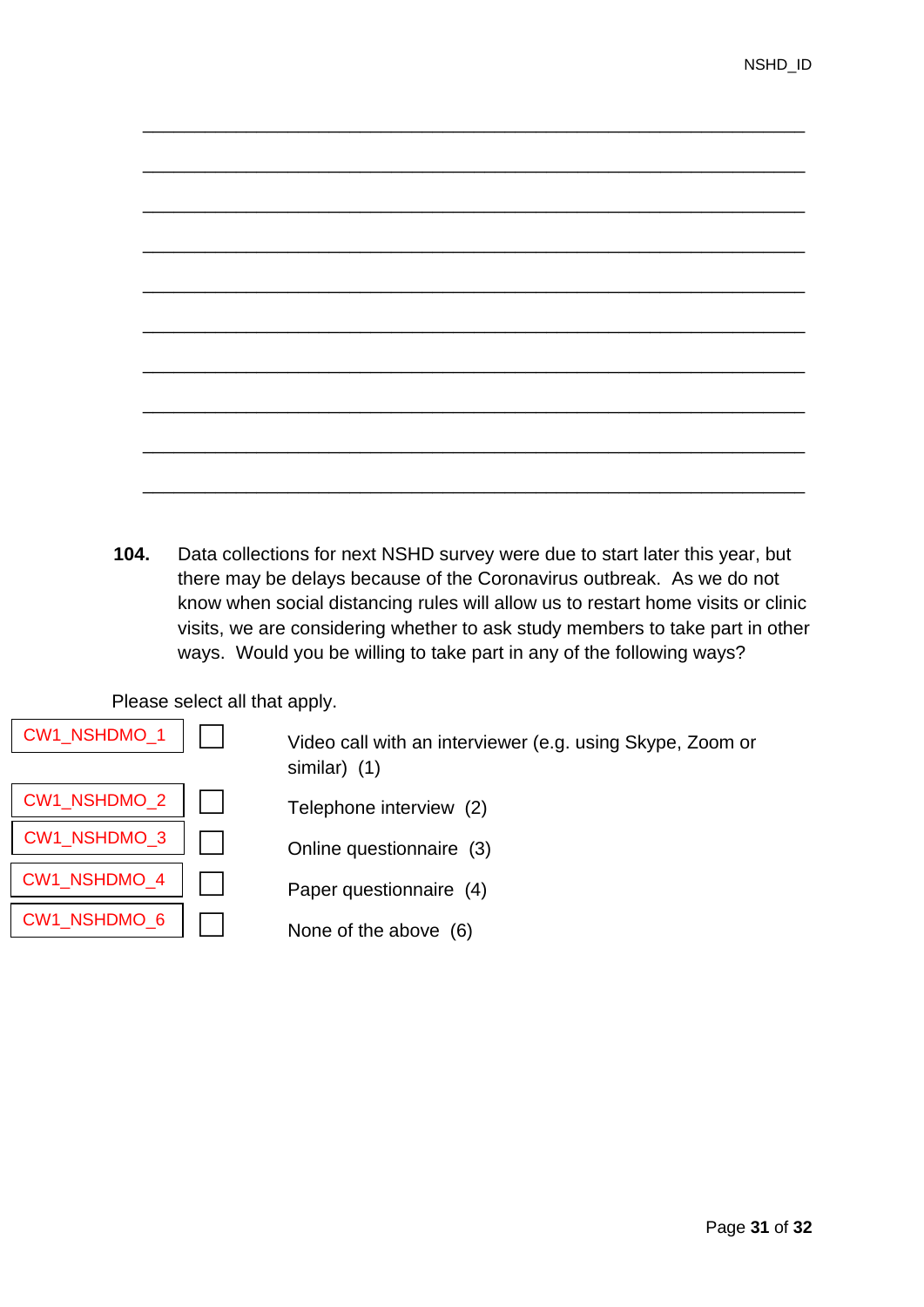\_\_\_\_\_\_\_\_\_\_\_\_\_\_\_\_\_\_\_\_\_\_\_\_\_\_\_\_\_\_\_\_\_\_\_\_\_\_\_\_\_\_\_\_\_\_\_\_\_\_\_\_\_\_\_\_\_\_\_\_\_\_\_\_

**104.** Data collections for next NSHD survey were due to start later this year, but there may be delays because of the Coronavirus outbreak. As we do not know when social distancing rules will allow us to restart home visits or clinic visits, we are considering whether to ask study members to take part in other ways. Would you be willing to take part in any of the following ways?

Please select all that apply.



Video call with an interviewer (e.g. using Skype, Zoom or similar) (1)

Telephone interview (2)

Online questionnaire (3)

Paper questionnaire (4)

None of the above  $(6)$